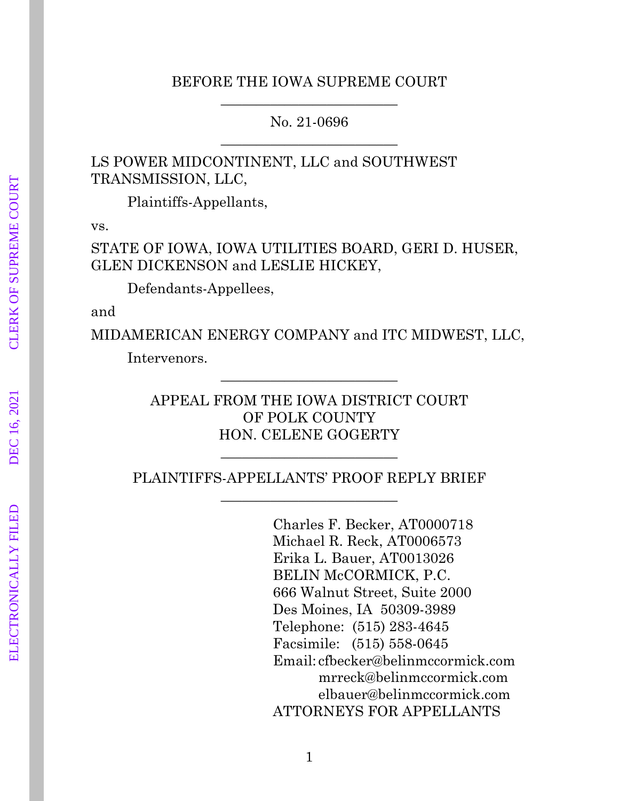### BEFORE THE IOWA SUPREME COURT  $\frac{1}{2}$  ,  $\frac{1}{2}$  ,  $\frac{1}{2}$  ,  $\frac{1}{2}$  ,  $\frac{1}{2}$  ,  $\frac{1}{2}$  ,  $\frac{1}{2}$  ,  $\frac{1}{2}$  ,  $\frac{1}{2}$  ,  $\frac{1}{2}$  ,  $\frac{1}{2}$  ,  $\frac{1}{2}$  ,  $\frac{1}{2}$  ,  $\frac{1}{2}$  ,  $\frac{1}{2}$  ,  $\frac{1}{2}$  ,  $\frac{1}{2}$  ,  $\frac{1}{2}$  ,  $\frac{1$

No. 21-0696  $\frac{1}{2}$  , and the set of the set of the set of the set of the set of the set of the set of the set of the set of the set of the set of the set of the set of the set of the set of the set of the set of the set of the set

LS POWER MIDCONTINENT, LLC and SOUTHWEST TRANSMISSION, LLC,

Plaintiffs-Appellants,

vs.

STATE OF IOWA, IOWA UTILITIES BOARD, GERI D. HUSER, GLEN DICKENSON and LESLIE HICKEY,

Defendants-Appellees,

and

MIDAMERICAN ENERGY COMPANY and ITC MIDWEST, LLC,

Intervenors.

APPEAL FROM THE IOWA DISTRICT COURT OF POLK COUNTY HON. CELENE GOGERTY

 $\frac{1}{2}$  ,  $\frac{1}{2}$  ,  $\frac{1}{2}$  ,  $\frac{1}{2}$  ,  $\frac{1}{2}$  ,  $\frac{1}{2}$  ,  $\frac{1}{2}$  ,  $\frac{1}{2}$  ,  $\frac{1}{2}$  ,  $\frac{1}{2}$  ,  $\frac{1}{2}$  ,  $\frac{1}{2}$  ,  $\frac{1}{2}$  ,  $\frac{1}{2}$  ,  $\frac{1}{2}$  ,  $\frac{1}{2}$  ,  $\frac{1}{2}$  ,  $\frac{1}{2}$  ,  $\frac{1$ 

PLAINTIFFS-APPELLANTS' PROOF REPLY BRIEF  $\frac{1}{2}$  , and the set of the set of the set of the set of the set of the set of the set of the set of the set of the set of the set of the set of the set of the set of the set of the set of the set of the set of the set

 $\frac{1}{2}$  ,  $\frac{1}{2}$  ,  $\frac{1}{2}$  ,  $\frac{1}{2}$  ,  $\frac{1}{2}$  ,  $\frac{1}{2}$  ,  $\frac{1}{2}$  ,  $\frac{1}{2}$  ,  $\frac{1}{2}$  ,  $\frac{1}{2}$  ,  $\frac{1}{2}$  ,  $\frac{1}{2}$  ,  $\frac{1}{2}$  ,  $\frac{1}{2}$  ,  $\frac{1}{2}$  ,  $\frac{1}{2}$  ,  $\frac{1}{2}$  ,  $\frac{1}{2}$  ,  $\frac{1$ 

Charles F. Becker, AT0000718 Michael R. Reck, AT0006573 Erika L. Bauer, AT0013026 BELIN McCORMICK, P.C. 666 Walnut Street, Suite 2000 Des Moines, IA 50309-3989 Telephone: (515) 283-4645 Facsimile: (515) 558-0645 Email: cfbecker@belinmccormick.com mrreck@belinmccormick.com elbauer@belinmccormick.com ATTORNEYS FOR APPELLANTS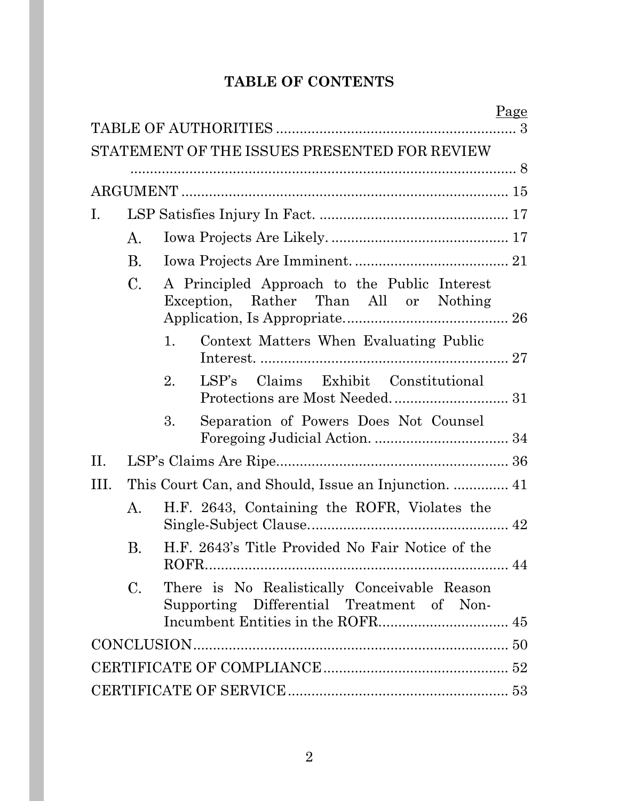# **TABLE OF CONTENTS**

|      |             |                                                                                           | Page |
|------|-------------|-------------------------------------------------------------------------------------------|------|
|      |             | STATEMENT OF THE ISSUES PRESENTED FOR REVIEW                                              |      |
|      |             |                                                                                           |      |
|      |             |                                                                                           |      |
| Ι.   |             |                                                                                           |      |
|      | $A_{\cdot}$ |                                                                                           |      |
|      | B.          |                                                                                           |      |
|      | $C_{\cdot}$ | A Principled Approach to the Public Interest<br>Exception, Rather Than All or Nothing     |      |
|      |             | $\mathbf{1}$ .<br>Context Matters When Evaluating Public                                  |      |
|      |             | LSP's Claims Exhibit Constitutional<br>2.                                                 |      |
|      |             | 3.<br>Separation of Powers Does Not Counsel                                               |      |
| II.  |             |                                                                                           |      |
| III. |             | This Court Can, and Should, Issue an Injunction.  41                                      |      |
|      | A.          | H.F. 2643, Containing the ROFR, Violates the                                              |      |
|      | В.          | H.F. 2643's Title Provided No Fair Notice of the                                          |      |
|      | $C_{\cdot}$ | There is No Realistically Conceivable Reason<br>Supporting Differential Treatment of Non- |      |
|      |             |                                                                                           |      |
|      |             |                                                                                           |      |
|      |             |                                                                                           |      |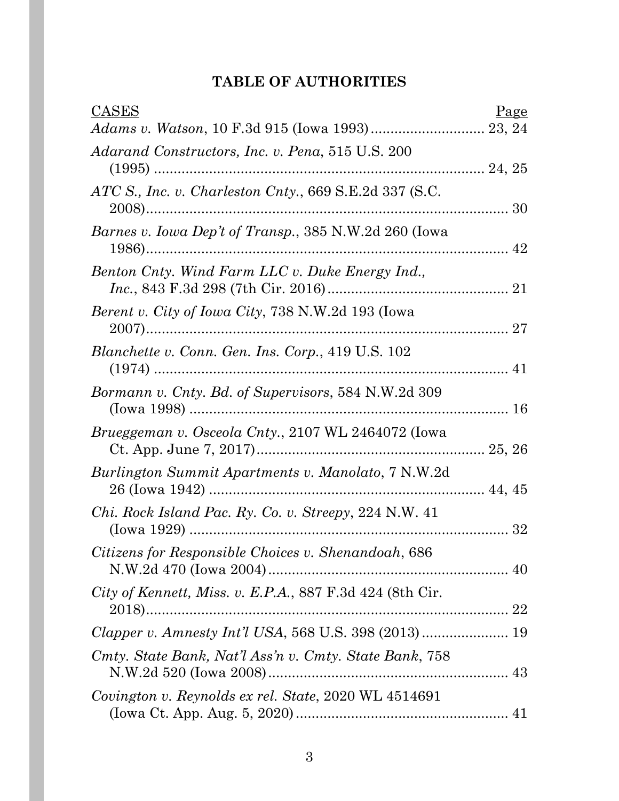# **TABLE OF AUTHORITIES**

| <b>CASES</b>                                                 | Page |
|--------------------------------------------------------------|------|
|                                                              |      |
| Adarand Constructors, Inc. v. Pena, 515 U.S. 200             |      |
| ATC S., Inc. v. Charleston Cnty., 669 S.E.2d 337 (S.C.       |      |
| Barnes v. Iowa Dep't of Transp., 385 N.W.2d 260 (Iowa        |      |
| Benton Cnty. Wind Farm LLC v. Duke Energy Ind.,              |      |
| <i>Berent v. City of Iowa City, 738 N.W.2d 193 (Iowa</i>     |      |
| Blanchette v. Conn. Gen. Ins. Corp., 419 U.S. 102            |      |
| Bormann v. Cnty. Bd. of Supervisors, 584 N.W.2d 309          |      |
| <i>Brueggeman v. Osceola Cnty., 2107 WL 2464072 (Iowa</i>    |      |
| Burlington Summit Apartments v. Manolato, 7 N.W.2d           |      |
| <i>Chi. Rock Island Pac. Ry. Co. v. Streepy, 224 N.W. 41</i> |      |
| Citizens for Responsible Choices v. Shenandoah, 686          |      |
| City of Kennett, Miss. v. E.P.A., 887 F.3d 424 (8th Cir.     |      |
|                                                              |      |
| Cmty. State Bank, Nat'l Ass'n v. Cmty. State Bank, 758       |      |
| Covington v. Reynolds ex rel. State, 2020 WL 4514691         |      |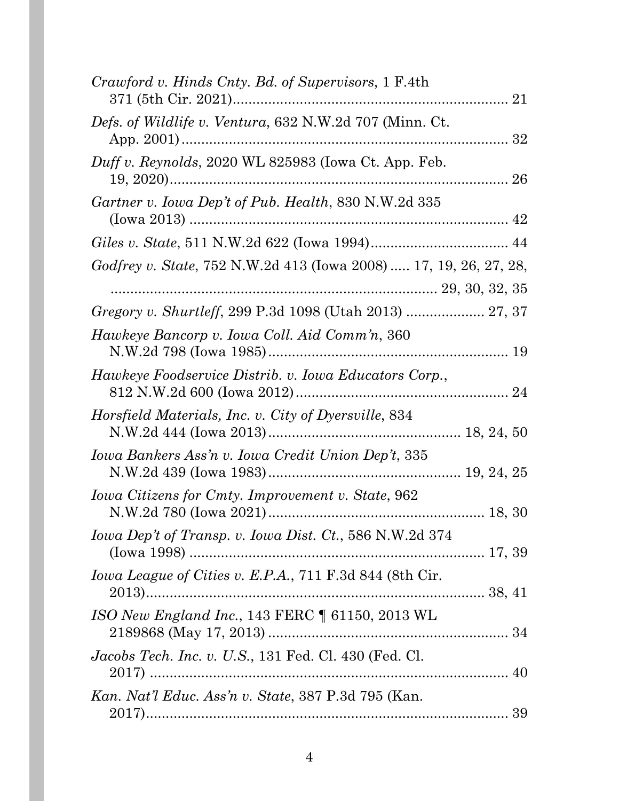| Crawford v. Hinds Cnty. Bd. of Supervisors, 1 F.4th               |
|-------------------------------------------------------------------|
| Defs. of Wildlife v. Ventura, 632 N.W.2d 707 (Minn. Ct.           |
| Duff v. Reynolds, 2020 WL 825983 (Iowa Ct. App. Feb.              |
| Gartner v. Iowa Dep't of Pub. Health, 830 N.W.2d 335              |
|                                                                   |
| Godfrey v. State, 752 N.W.2d 413 (Iowa 2008)  17, 19, 26, 27, 28, |
|                                                                   |
| Hawkeye Bancorp v. Iowa Coll. Aid Comm'n, 360                     |
| Hawkeye Foodservice Distrib. v. Iowa Educators Corp.,             |
| Horsfield Materials, Inc. v. City of Dyersville, 834              |
| Iowa Bankers Ass'n v. Iowa Credit Union Dep't, 335                |
| Iowa Citizens for Cmty. Improvement v. State, 962                 |
| Iowa Dep't of Transp. v. Iowa Dist. Ct., 586 N.W.2d 374           |
| Iowa League of Cities v. E.P.A., 711 F.3d 844 (8th Cir.           |
| ISO New England Inc., 143 FERC 1 61150, 2013 WL                   |
| <i>Jacobs Tech. Inc. v. U.S.</i> , 131 Fed. Cl. 430 (Fed. Cl.     |
| Kan. Nat'l Educ. Ass'n v. State, 387 P.3d 795 (Kan.               |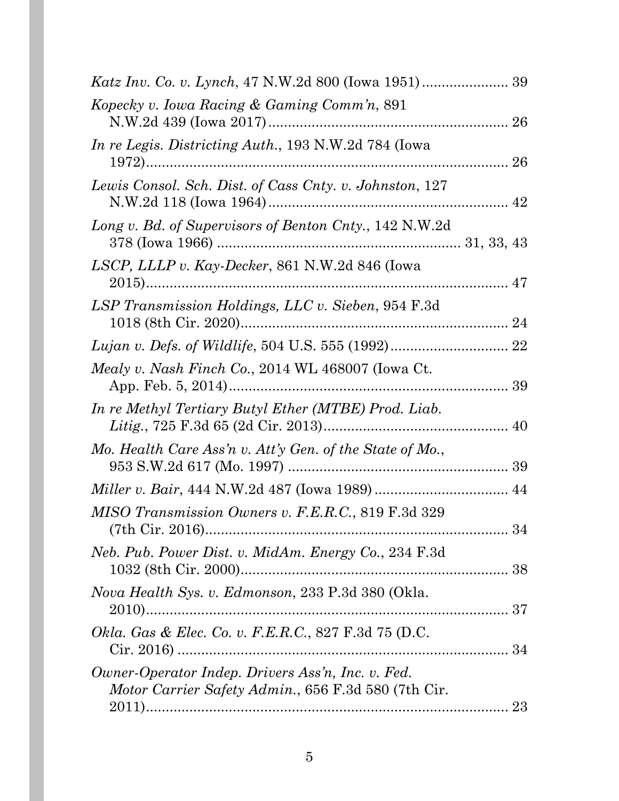| Kopecky v. Iowa Racing & Gaming Comm'n, 891                                                              |  |
|----------------------------------------------------------------------------------------------------------|--|
| In re Legis. Districting Auth., 193 N.W.2d 784 (Iowa                                                     |  |
| Lewis Consol. Sch. Dist. of Cass Cnty. v. Johnston, 127                                                  |  |
| Long v. Bd. of Supervisors of Benton Cnty., 142 N.W.2d                                                   |  |
| LSCP, LLLP v. Kay-Decker, 861 N.W.2d 846 (Iowa                                                           |  |
| LSP Transmission Holdings, LLC v. Sieben, 954 F.3d                                                       |  |
|                                                                                                          |  |
| Mealy v. Nash Finch Co., 2014 WL 468007 (Iowa Ct.                                                        |  |
| In re Methyl Tertiary Butyl Ether (MTBE) Prod. Liab.                                                     |  |
| Mo. Health Care Ass'n v. Att'y Gen. of the State of Mo.,                                                 |  |
|                                                                                                          |  |
| MISO Transmission Owners v. F.E.R.C., 819 F.3d 329                                                       |  |
| Neb. Pub. Power Dist. v. MidAm. Energy Co., 234 F.3d                                                     |  |
| Nova Health Sys. v. Edmonson, 233 P.3d 380 (Okla.                                                        |  |
| Okla. Gas & Elec. Co. v. F.E.R.C., 827 F.3d 75 (D.C.                                                     |  |
| Owner-Operator Indep. Drivers Ass'n, Inc. v. Fed.<br>Motor Carrier Safety Admin., 656 F.3d 580 (7th Cir. |  |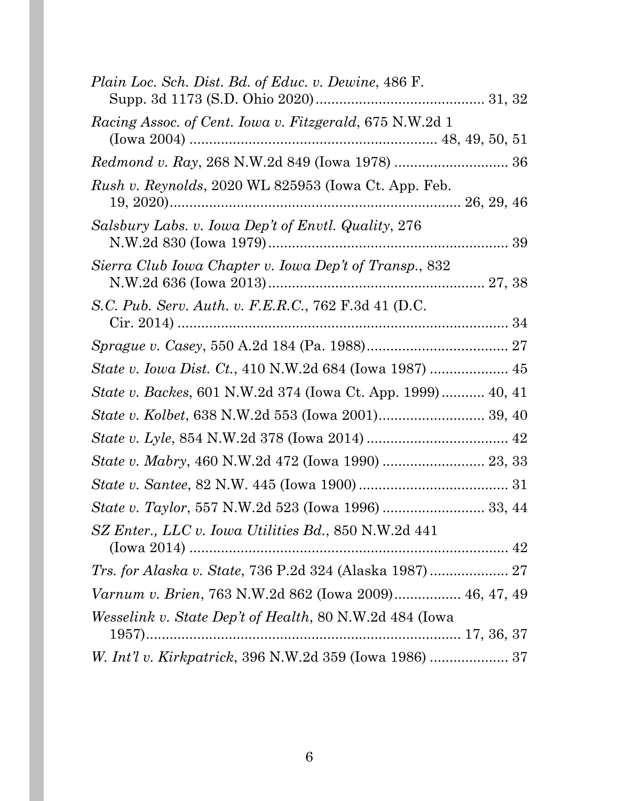| Plain Loc. Sch. Dist. Bd. of Educ. v. Dewine, 486 F.                |
|---------------------------------------------------------------------|
| <i>Racing Assoc. of Cent. Iowa v. Fitzgerald, 675 N.W.2d 1</i>      |
| Redmond v. Ray, 268 N.W.2d 849 (Iowa 1978)  36                      |
| Rush v. Reynolds, 2020 WL 825953 (Iowa Ct. App. Feb.                |
| Salsbury Labs. v. Iowa Dep't of Envtl. Quality, 276                 |
| Sierra Club Iowa Chapter v. Iowa Dep't of Transp., 832              |
| S.C. Pub. Serv. Auth. v. F.E.R.C., 762 F.3d 41 (D.C.                |
|                                                                     |
|                                                                     |
| <i>State v. Backes</i> , 601 N.W.2d 374 (Iowa Ct. App. 1999) 40, 41 |
|                                                                     |
|                                                                     |
|                                                                     |
|                                                                     |
|                                                                     |
| SZ Enter., LLC v. Iowa Utilities Bd., 850 N.W.2d 441                |
| Trs. for Alaska v. State, 736 P.2d 324 (Alaska 1987)  27            |
| Varnum v. Brien, 763 N.W.2d 862 (Iowa 2009) 46, 47, 49              |
| <i>Wesselink v. State Dep't of Health, 80 N.W.2d 484 (Iowa</i>      |
|                                                                     |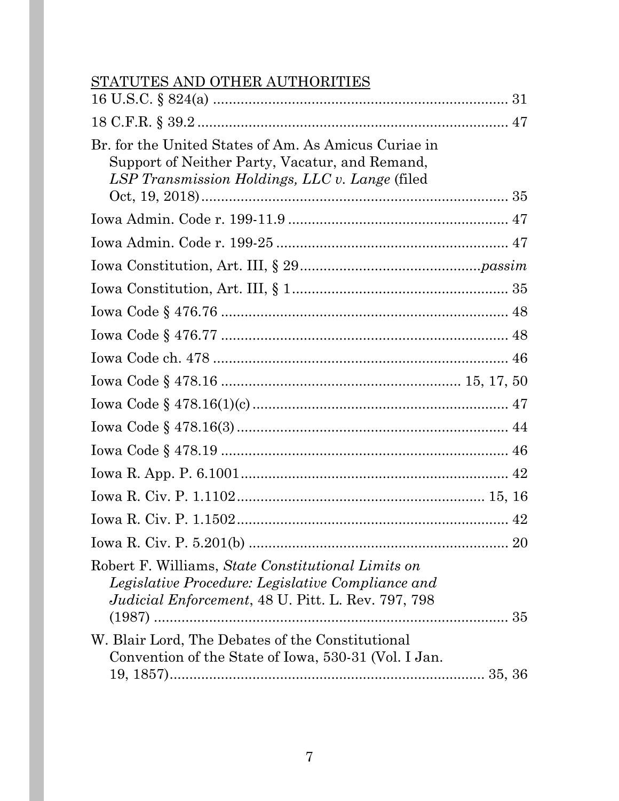# STATUTES AND OTHER AUTHORITIES

| Br. for the United States of Am. As Amicus Curiae in<br>Support of Neither Party, Vacatur, and Remand,<br>LSP Transmission Holdings, LLC v. Lange (filed             |    |
|----------------------------------------------------------------------------------------------------------------------------------------------------------------------|----|
|                                                                                                                                                                      |    |
|                                                                                                                                                                      |    |
|                                                                                                                                                                      |    |
|                                                                                                                                                                      |    |
|                                                                                                                                                                      |    |
|                                                                                                                                                                      |    |
|                                                                                                                                                                      |    |
|                                                                                                                                                                      |    |
|                                                                                                                                                                      |    |
|                                                                                                                                                                      |    |
|                                                                                                                                                                      |    |
|                                                                                                                                                                      |    |
|                                                                                                                                                                      |    |
|                                                                                                                                                                      |    |
|                                                                                                                                                                      | 20 |
| Robert F. Williams, State Constitutional Limits on<br>Legislative Procedure: Legislative Compliance and<br><i>Judicial Enforcement, 48 U. Pitt. L. Rev. 797, 798</i> |    |
| W. Blair Lord, The Debates of the Constitutional<br>Convention of the State of Iowa, 530-31 (Vol. I Jan.                                                             |    |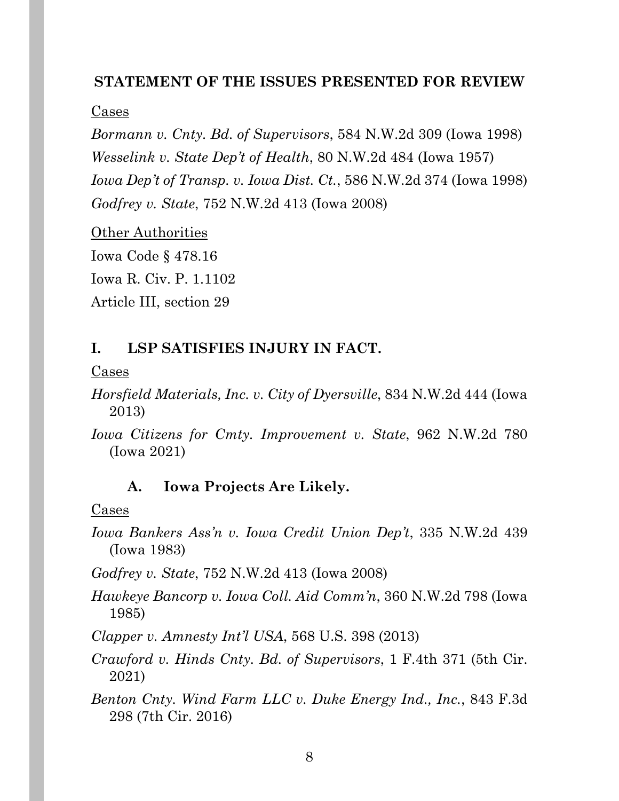### **STATEMENT OF THE ISSUES PRESENTED FOR REVIEW**

### Cases

*Bormann v. Cnty. Bd. of Supervisors*, 584 N.W.2d 309 (Iowa 1998) *Wesselink v. State Dep't of Health*, 80 N.W.2d 484 (Iowa 1957) *Iowa Dep't of Transp. v. Iowa Dist. Ct.*, 586 N.W.2d 374 (Iowa 1998) *Godfrey v. State*, 752 N.W.2d 413 (Iowa 2008)

Other Authorities Iowa Code § 478.16 Iowa R. Civ. P. 1.1102 Article III, section 29

## **I. LSP SATISFIES INJURY IN FACT.**

### Cases

- *Horsfield Materials, Inc. v. City of Dyersville*, 834 N.W.2d 444 (Iowa 2013)
- *Iowa Citizens for Cmty. Improvement v. State*, 962 N.W.2d 780 (Iowa 2021)

### **A. Iowa Projects Are Likely.**

### Cases

*Iowa Bankers Ass'n v. Iowa Credit Union Dep't*, 335 N.W.2d 439 (Iowa 1983)

*Godfrey v. State*, 752 N.W.2d 413 (Iowa 2008)

*Hawkeye Bancorp v. Iowa Coll. Aid Comm'n*, 360 N.W.2d 798 (Iowa 1985)

*Clapper v. Amnesty Int'l USA*, 568 U.S. 398 (2013)

*Crawford v. Hinds Cnty. Bd. of Supervisors*, 1 F.4th 371 (5th Cir. 2021)

*Benton Cnty. Wind Farm LLC v. Duke Energy Ind., Inc.*, 843 F.3d 298 (7th Cir. 2016)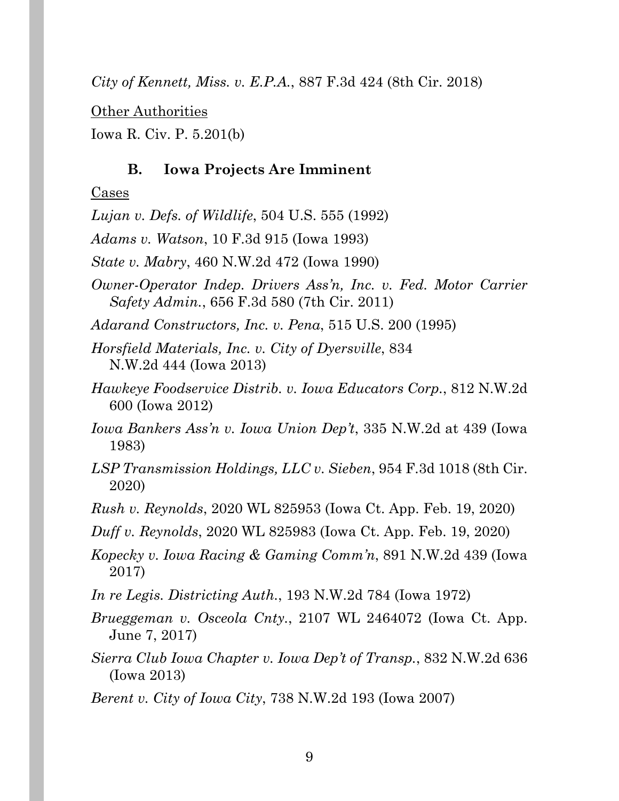*City of Kennett, Miss. v. E.P.A.*, 887 F.3d 424 (8th Cir. 2018)

Other Authorities

Iowa R. Civ. P. 5.201(b)

### **B. Iowa Projects Are Imminent**

### Cases

*Lujan v. Defs. of Wildlife*, 504 U.S. 555 (1992)

*Adams v. Watson*, 10 F.3d 915 (Iowa 1993)

*State v. Mabry*, 460 N.W.2d 472 (Iowa 1990)

*Owner-Operator Indep. Drivers Ass'n, Inc. v. Fed. Motor Carrier Safety Admin.*, 656 F.3d 580 (7th Cir. 2011)

*Adarand Constructors, Inc. v. Pena*, 515 U.S. 200 (1995)

*Horsfield Materials, Inc. v. City of Dyersville*, 834 N.W.2d 444 (Iowa 2013)

- *Hawkeye Foodservice Distrib. v. Iowa Educators Corp.*, 812 N.W.2d 600 (Iowa 2012)
- *Iowa Bankers Ass'n v. Iowa Union Dep't*, 335 N.W.2d at 439 (Iowa 1983)

*LSP Transmission Holdings, LLC v. Sieben*, 954 F.3d 1018 (8th Cir. 2020)

*Rush v. Reynolds*, 2020 WL 825953 (Iowa Ct. App. Feb. 19, 2020)

*Duff v. Reynolds*, 2020 WL 825983 (Iowa Ct. App. Feb. 19, 2020)

*Kopecky v. Iowa Racing & Gaming Comm'n*, 891 N.W.2d 439 (Iowa 2017)

*In re Legis. Districting Auth.*, 193 N.W.2d 784 (Iowa 1972)

*Brueggeman v. Osceola Cnty.*, 2107 WL 2464072 (Iowa Ct. App. June 7, 2017)

*Sierra Club Iowa Chapter v. Iowa Dep't of Transp.*, 832 N.W.2d 636 (Iowa 2013)

*Berent v. City of Iowa City*, 738 N.W.2d 193 (Iowa 2007)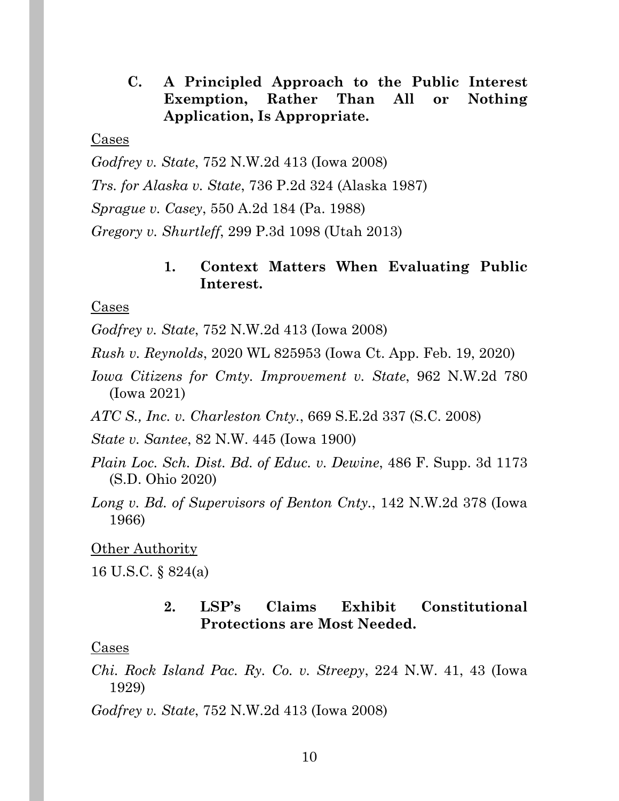**C. A Principled Approach to the Public Interest Exemption, Rather Than All or Nothing Application, Is Appropriate.** 

### Cases

*Godfrey v. State*, 752 N.W.2d 413 (Iowa 2008)

*Trs. for Alaska v. State*, 736 P.2d 324 (Alaska 1987)

*Sprague v. Casey*, 550 A.2d 184 (Pa. 1988)

*Gregory v. Shurtleff*, 299 P.3d 1098 (Utah 2013)

### **1. Context Matters When Evaluating Public Interest.**

### Cases

*Godfrey v. State*, 752 N.W.2d 413 (Iowa 2008)

*Rush v. Reynolds*, 2020 WL 825953 (Iowa Ct. App. Feb. 19, 2020)

*Iowa Citizens for Cmty. Improvement v. State*, 962 N.W.2d 780 (Iowa 2021)

*ATC S., Inc. v. Charleston Cnty.*, 669 S.E.2d 337 (S.C. 2008)

*State v. Santee*, 82 N.W. 445 (Iowa 1900)

*Plain Loc. Sch. Dist. Bd. of Educ. v. Dewine*, 486 F. Supp. 3d 1173 (S.D. Ohio 2020)

*Long v. Bd. of Supervisors of Benton Cnty.*, 142 N.W.2d 378 (Iowa 1966)

### Other Authority

16 U.S.C. § 824(a)

### **2. LSP's Claims Exhibit Constitutional Protections are Most Needed.**

### Cases

*Chi. Rock Island Pac. Ry. Co. v. Streepy*, 224 N.W. 41, 43 (Iowa 1929)

*Godfrey v. State*, 752 N.W.2d 413 (Iowa 2008)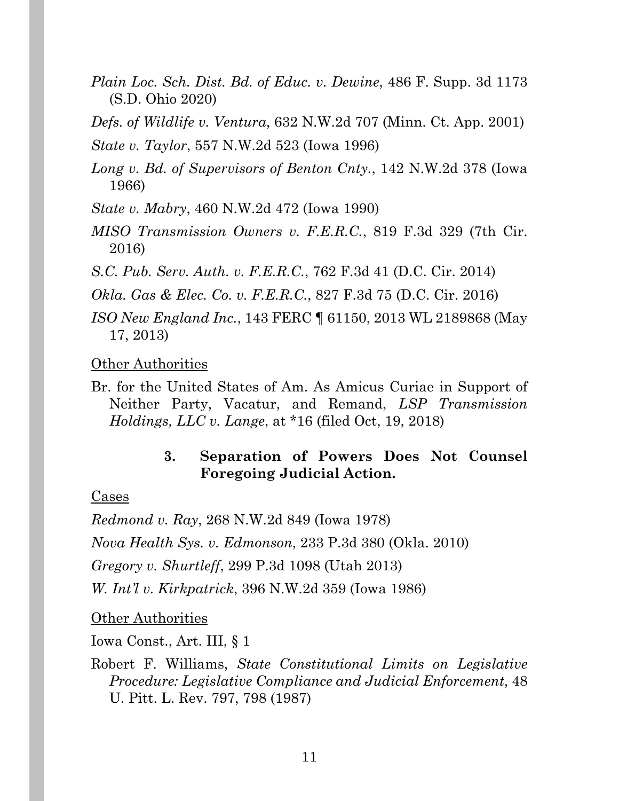- *Plain Loc. Sch. Dist. Bd. of Educ. v. Dewine*, 486 F. Supp. 3d 1173 (S.D. Ohio 2020)
- *Defs. of Wildlife v. Ventura*, 632 N.W.2d 707 (Minn. Ct. App. 2001)
- *State v. Taylor*, 557 N.W.2d 523 (Iowa 1996)
- *Long v. Bd. of Supervisors of Benton Cnty.*, 142 N.W.2d 378 (Iowa 1966)
- *State v. Mabry*, 460 N.W.2d 472 (Iowa 1990)
- *MISO Transmission Owners v. F.E.R.C.*, 819 F.3d 329 (7th Cir. 2016)
- *S.C. Pub. Serv. Auth. v. F.E.R.C.*, 762 F.3d 41 (D.C. Cir. 2014)

*Okla. Gas & Elec. Co. v. F.E.R.C.*, 827 F.3d 75 (D.C. Cir. 2016)

*ISO New England Inc.*, 143 FERC ¶ 61150, 2013 WL 2189868 (May 17, 2013)

Other Authorities

Br. for the United States of Am. As Amicus Curiae in Support of Neither Party, Vacatur, and Remand, *LSP Transmission Holdings, LLC v. Lange*, at \*16 (filed Oct, 19, 2018)

## **3. Separation of Powers Does Not Counsel Foregoing Judicial Action.**

## Cases

*Redmond v. Ray*, 268 N.W.2d 849 (Iowa 1978)

*Nova Health Sys. v. Edmonson*, 233 P.3d 380 (Okla. 2010)

*Gregory v. Shurtleff*, 299 P.3d 1098 (Utah 2013)

*W. Int'l v. Kirkpatrick*, 396 N.W.2d 359 (Iowa 1986)

Other Authorities

Iowa Const., Art. III, § 1

Robert F. Williams, *State Constitutional Limits on Legislative Procedure: Legislative Compliance and Judicial Enforcement*, 48 U. Pitt. L. Rev. 797, 798 (1987)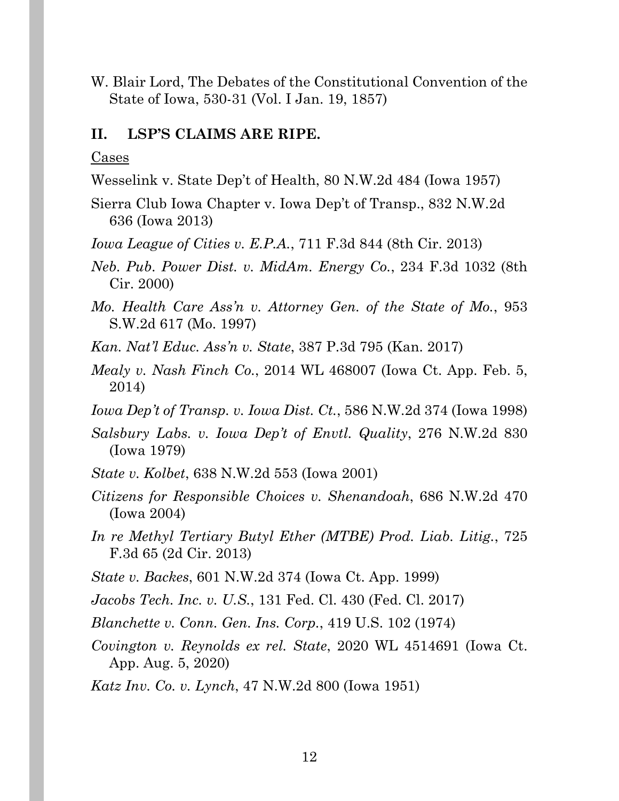W. Blair Lord, The Debates of the Constitutional Convention of the State of Iowa, 530-31 (Vol. I Jan. 19, 1857)

### **II. LSP'S CLAIMS ARE RIPE.**

Cases

- Wesselink v. State Dep't of Health, 80 N.W.2d 484 (Iowa 1957)
- Sierra Club Iowa Chapter v. Iowa Dep't of Transp., 832 N.W.2d 636 (Iowa 2013)
- *Iowa League of Cities v. E.P.A.*, 711 F.3d 844 (8th Cir. 2013)
- *Neb. Pub. Power Dist. v. MidAm. Energy Co.*, 234 F.3d 1032 (8th Cir. 2000)
- *Mo. Health Care Ass'n v. Attorney Gen. of the State of Mo.*, 953 S.W.2d 617 (Mo. 1997)
- *Kan. Nat'l Educ. Ass'n v. State*, 387 P.3d 795 (Kan. 2017)
- *Mealy v. Nash Finch Co.*, 2014 WL 468007 (Iowa Ct. App. Feb. 5, 2014)
- *Iowa Dep't of Transp. v. Iowa Dist. Ct.*, 586 N.W.2d 374 (Iowa 1998)
- *Salsbury Labs. v. Iowa Dep't of Envtl. Quality*, 276 N.W.2d 830 (Iowa 1979)
- *State v. Kolbet*, 638 N.W.2d 553 (Iowa 2001)
- *Citizens for Responsible Choices v. Shenandoah*, 686 N.W.2d 470 (Iowa 2004)
- *In re Methyl Tertiary Butyl Ether (MTBE) Prod. Liab. Litig.*, 725 F.3d 65 (2d Cir. 2013)
- *State v. Backes*, 601 N.W.2d 374 (Iowa Ct. App. 1999)
- *Jacobs Tech. Inc. v. U.S.*, 131 Fed. Cl. 430 (Fed. Cl. 2017)
- *Blanchette v. Conn. Gen. Ins. Corp.*, 419 U.S. 102 (1974)
- *Covington v. Reynolds ex rel. State*, 2020 WL 4514691 (Iowa Ct. App. Aug. 5, 2020)
- *Katz Inv. Co. v. Lynch*, 47 N.W.2d 800 (Iowa 1951)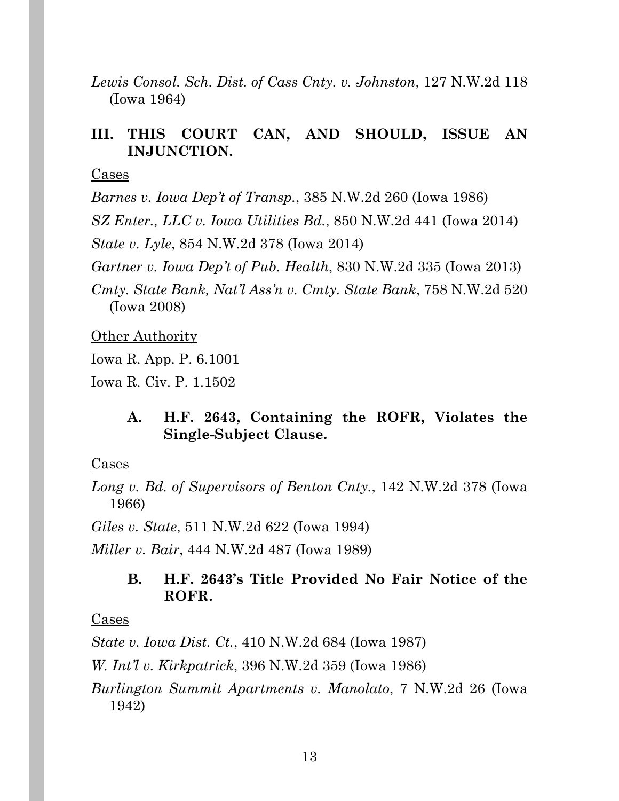*Lewis Consol. Sch. Dist. of Cass Cnty. v. Johnston*, 127 N.W.2d 118 (Iowa 1964)

### **III. THIS COURT CAN, AND SHOULD, ISSUE AN INJUNCTION.**

Cases

*Barnes v. Iowa Dep't of Transp.*, 385 N.W.2d 260 (Iowa 1986)

*SZ Enter., LLC v. Iowa Utilities Bd.*, 850 N.W.2d 441 (Iowa 2014)

*State v. Lyle*, 854 N.W.2d 378 (Iowa 2014)

*Gartner v. Iowa Dep't of Pub. Health*, 830 N.W.2d 335 (Iowa 2013)

*Cmty. State Bank, Nat'l Ass'n v. Cmty. State Bank*, 758 N.W.2d 520 (Iowa 2008)

Other Authority

Iowa R. App. P. 6.1001

Iowa R. Civ. P. 1.1502

### **A. H.F. 2643, Containing the ROFR, Violates the Single-Subject Clause.**

### Cases

*Long v. Bd. of Supervisors of Benton Cnty.*, 142 N.W.2d 378 (Iowa 1966)

*Giles v. State*, 511 N.W.2d 622 (Iowa 1994)

*Miller v. Bair*, 444 N.W.2d 487 (Iowa 1989)

### **B. H.F. 2643's Title Provided No Fair Notice of the ROFR.**

### Cases

*State v. Iowa Dist. Ct.*, 410 N.W.2d 684 (Iowa 1987)

*W. Int'l v. Kirkpatrick*, 396 N.W.2d 359 (Iowa 1986)

*Burlington Summit Apartments v. Manolato*, 7 N.W.2d 26 (Iowa 1942)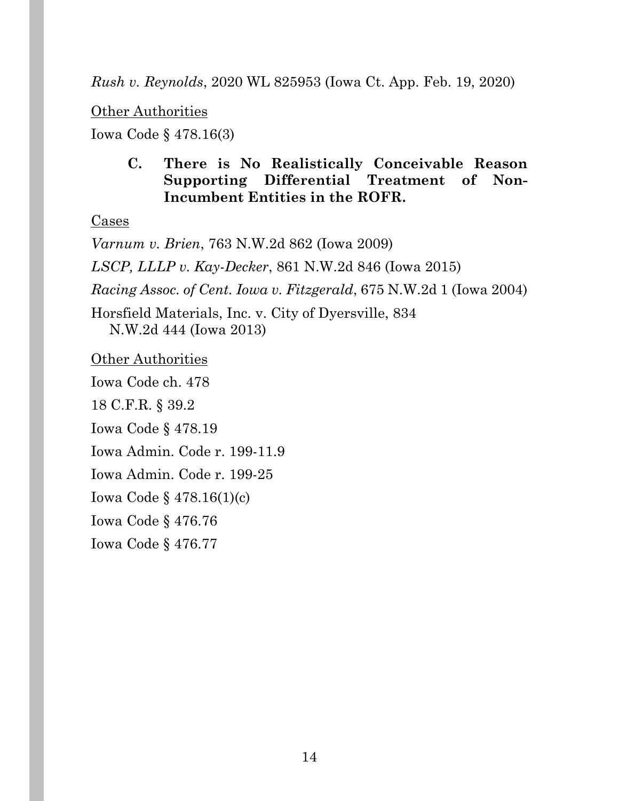### *Rush v. Reynolds*, 2020 WL 825953 (Iowa Ct. App. Feb. 19, 2020)

Other Authorities

Iowa Code § 478.16(3)

## **C. There is No Realistically Conceivable Reason Supporting Differential Treatment of Non-Incumbent Entities in the ROFR.**

Cases

*Varnum v. Brien*, 763 N.W.2d 862 (Iowa 2009) *LSCP, LLLP v. Kay-Decker*, 861 N.W.2d 846 (Iowa 2015) *Racing Assoc. of Cent. Iowa v. Fitzgerald*, 675 N.W.2d 1 (Iowa 2004) Horsfield Materials, Inc. v. City of Dyersville, 834 N.W.2d 444 (Iowa 2013) **Other Authorities** Iowa Code ch. 478 18 C.F.R. § 39.2 Iowa Code § 478.19 Iowa Admin. Code r. 199-11.9 Iowa Admin. Code r. 199-25 Iowa Code § 478.16(1)(c) Iowa Code § 476.76 Iowa Code § 476.77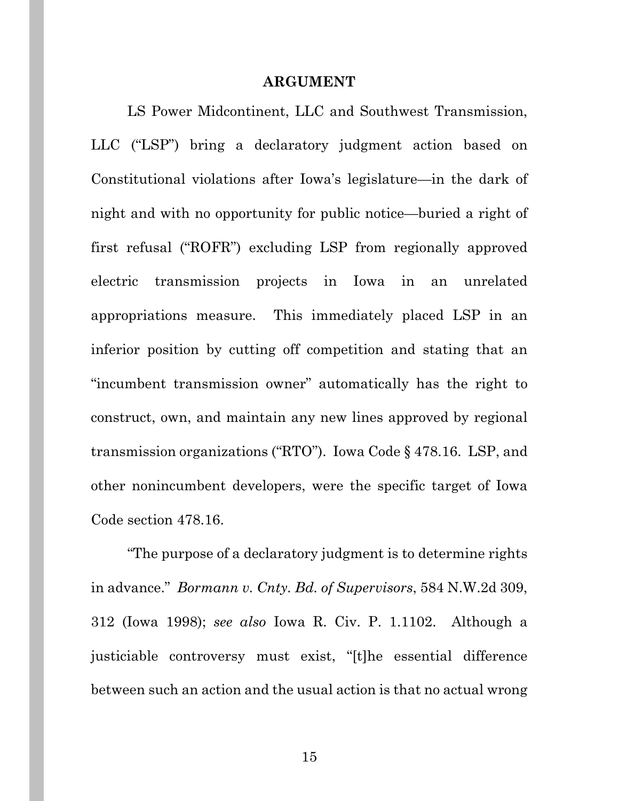#### **ARGUMENT**

LS Power Midcontinent, LLC and Southwest Transmission, LLC ("LSP") bring a declaratory judgment action based on Constitutional violations after Iowa's legislature—in the dark of night and with no opportunity for public notice—buried a right of first refusal ("ROFR") excluding LSP from regionally approved electric transmission projects in Iowa in an unrelated appropriations measure. This immediately placed LSP in an inferior position by cutting off competition and stating that an "incumbent transmission owner" automatically has the right to construct, own, and maintain any new lines approved by regional transmission organizations ("RTO"). Iowa Code § 478.16. LSP, and other nonincumbent developers, were the specific target of Iowa Code section 478.16.

"The purpose of a declaratory judgment is to determine rights in advance." *Bormann v. Cnty. Bd. of Supervisors*, 584 N.W.2d 309, 312 (Iowa 1998); *see also* Iowa R. Civ. P. 1.1102. Although a justiciable controversy must exist, "[t]he essential difference between such an action and the usual action is that no actual wrong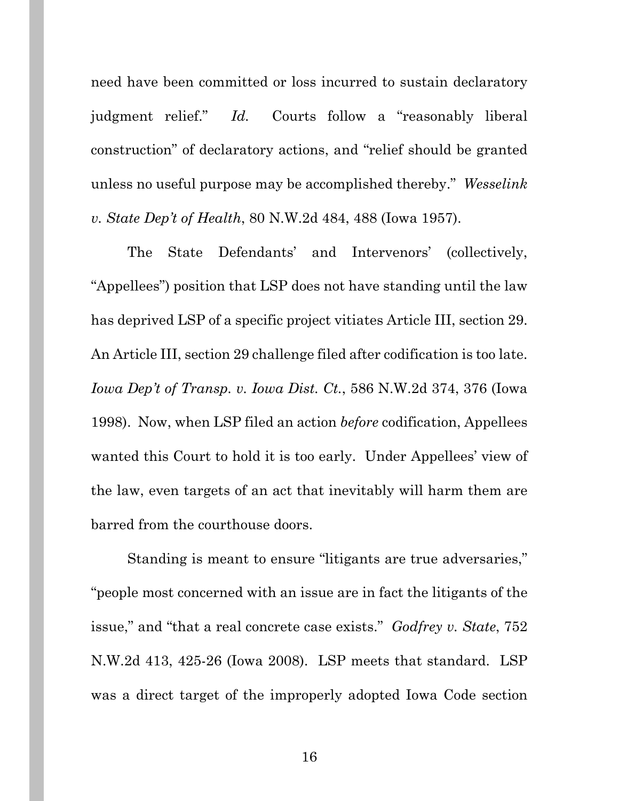need have been committed or loss incurred to sustain declaratory judgment relief." *Id.* Courts follow a "reasonably liberal construction" of declaratory actions, and "relief should be granted unless no useful purpose may be accomplished thereby." *Wesselink v. State Dep't of Health*, 80 N.W.2d 484, 488 (Iowa 1957).

The State Defendants' and Intervenors' (collectively, "Appellees") position that LSP does not have standing until the law has deprived LSP of a specific project vitiates Article III, section 29. An Article III, section 29 challenge filed after codification is too late. *Iowa Dep't of Transp. v. Iowa Dist. Ct.*, 586 N.W.2d 374, 376 (Iowa 1998). Now, when LSP filed an action *before* codification, Appellees wanted this Court to hold it is too early. Under Appellees' view of the law, even targets of an act that inevitably will harm them are barred from the courthouse doors.

Standing is meant to ensure "litigants are true adversaries," "people most concerned with an issue are in fact the litigants of the issue," and "that a real concrete case exists." *Godfrey v. State*, 752 N.W.2d 413, 425-26 (Iowa 2008). LSP meets that standard. LSP was a direct target of the improperly adopted Iowa Code section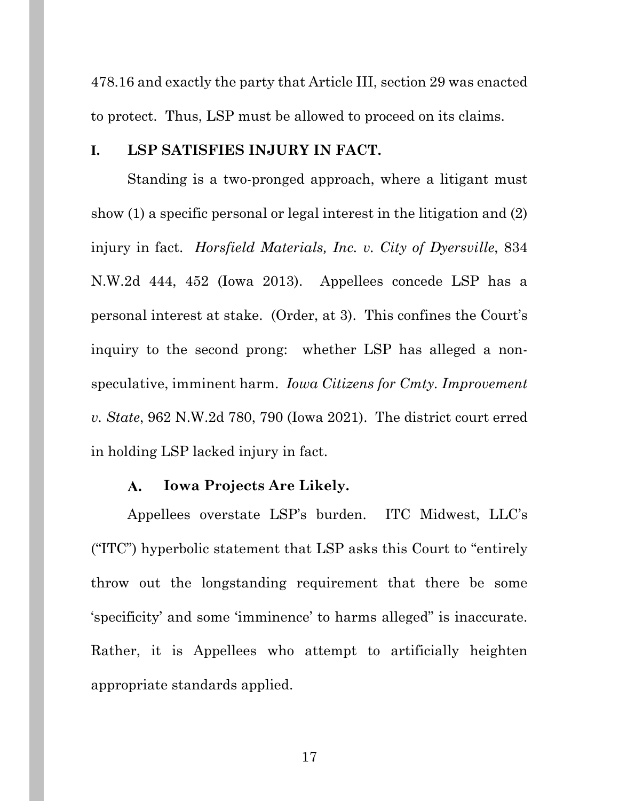478.16 and exactly the party that Article III, section 29 was enacted to protect. Thus, LSP must be allowed to proceed on its claims.

### **I. LSP SATISFIES INJURY IN FACT.**

Standing is a two-pronged approach, where a litigant must show (1) a specific personal or legal interest in the litigation and (2) injury in fact. *Horsfield Materials, Inc. v. City of Dyersville*, 834 N.W.2d 444, 452 (Iowa 2013). Appellees concede LSP has a personal interest at stake. (Order, at 3). This confines the Court's inquiry to the second prong: whether LSP has alleged a nonspeculative, imminent harm. *Iowa Citizens for Cmty. Improvement v. State*, 962 N.W.2d 780, 790 (Iowa 2021). The district court erred in holding LSP lacked injury in fact.

#### **Iowa Projects Are Likely.**  A.

Appellees overstate LSP's burden. ITC Midwest, LLC's ("ITC") hyperbolic statement that LSP asks this Court to "entirely throw out the longstanding requirement that there be some 'specificity' and some 'imminence' to harms alleged" is inaccurate. Rather, it is Appellees who attempt to artificially heighten appropriate standards applied.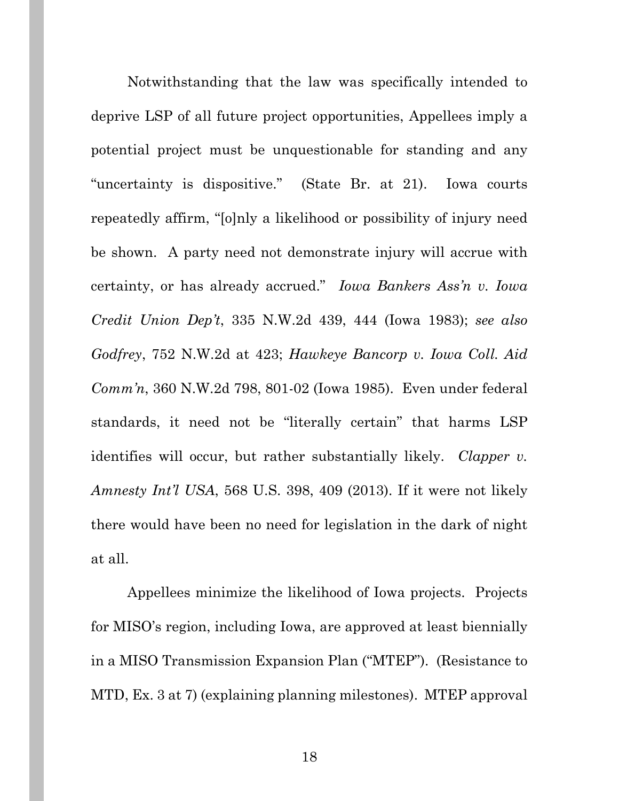Notwithstanding that the law was specifically intended to deprive LSP of all future project opportunities, Appellees imply a potential project must be unquestionable for standing and any "uncertainty is dispositive." (State Br. at 21). Iowa courts repeatedly affirm, "[o]nly a likelihood or possibility of injury need be shown. A party need not demonstrate injury will accrue with certainty, or has already accrued." *Iowa Bankers Ass'n v. Iowa Credit Union Dep't*, 335 N.W.2d 439, 444 (Iowa 1983); *see also Godfrey*, 752 N.W.2d at 423; *Hawkeye Bancorp v. Iowa Coll. Aid Comm'n*, 360 N.W.2d 798, 801-02 (Iowa 1985). Even under federal standards, it need not be "literally certain" that harms LSP identifies will occur, but rather substantially likely. *Clapper v. Amnesty Int'l USA*, 568 U.S. 398, 409 (2013). If it were not likely there would have been no need for legislation in the dark of night at all.

Appellees minimize the likelihood of Iowa projects. Projects for MISO's region, including Iowa, are approved at least biennially in a MISO Transmission Expansion Plan ("MTEP"). (Resistance to MTD, Ex. 3 at 7) (explaining planning milestones). MTEP approval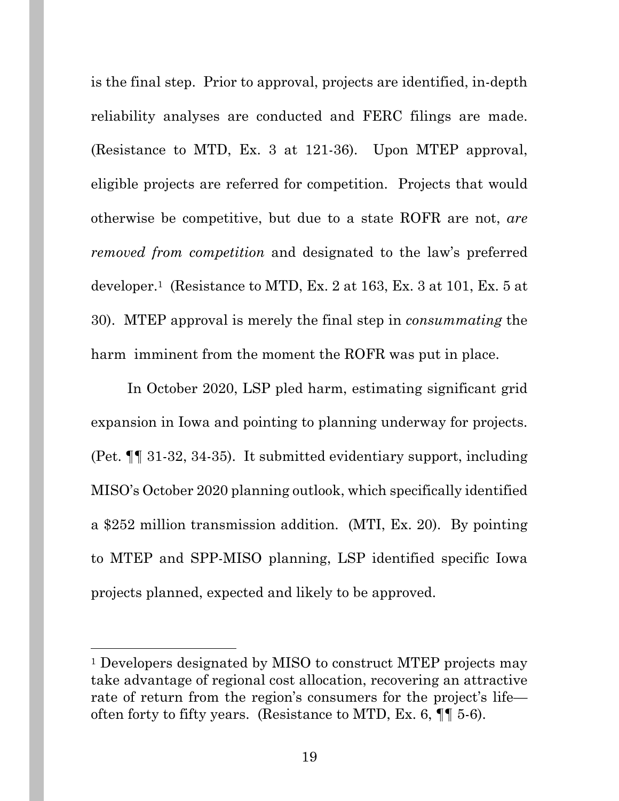is the final step. Prior to approval, projects are identified, in-depth reliability analyses are conducted and FERC filings are made. (Resistance to MTD, Ex. 3 at 121-36). Upon MTEP approval, eligible projects are referred for competition. Projects that would otherwise be competitive, but due to a state ROFR are not, *are removed from competition* and designated to the law's preferred developer.1 (Resistance to MTD, Ex. 2 at 163, Ex. 3 at 101, Ex. 5 at 30). MTEP approval is merely the final step in *consummating* the harm imminent from the moment the ROFR was put in place.

In October 2020, LSP pled harm, estimating significant grid expansion in Iowa and pointing to planning underway for projects. (Pet. ¶¶ 31-32, 34-35). It submitted evidentiary support, including MISO's October 2020 planning outlook, which specifically identified a \$252 million transmission addition. (MTI, Ex. 20). By pointing to MTEP and SPP-MISO planning, LSP identified specific Iowa projects planned, expected and likely to be approved.

<sup>&</sup>lt;sup>1</sup> Developers designated by MISO to construct MTEP projects may take advantage of regional cost allocation, recovering an attractive rate of return from the region's consumers for the project's life often forty to fifty years. (Resistance to MTD, Ex. 6, ¶¶ 5-6).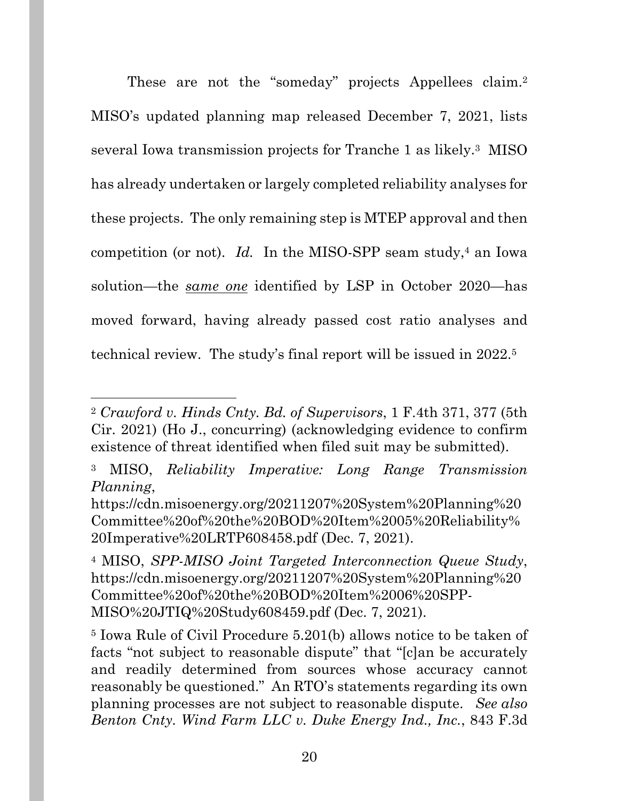These are not the "someday" projects Appellees claim.<sup>2</sup> MISO's updated planning map released December 7, 2021, lists several Iowa transmission projects for Tranche 1 as likely.3 MISO has already undertaken or largely completed reliability analyses for these projects. The only remaining step is MTEP approval and then competition (or not). *Id.* In the MISO-SPP seam study,<sup>4</sup> an Iowa solution—the *same one* identified by LSP in October 2020—has moved forward, having already passed cost ratio analyses and technical review. The study's final report will be issued in 2022.5

<sup>2</sup> *Crawford v. Hinds Cnty. Bd. of Supervisors*, 1 F.4th 371, 377 (5th Cir. 2021) (Ho J., concurring) (acknowledging evidence to confirm existence of threat identified when filed suit may be submitted).

<sup>3</sup> MISO, *Reliability Imperative: Long Range Transmission Planning*,

https://cdn.misoenergy.org/20211207%20System%20Planning%20 Committee%20of%20the%20BOD%20Item%2005%20Reliability% 20Imperative%20LRTP608458.pdf (Dec. 7, 2021).

<sup>4</sup> MISO, *SPP-MISO Joint Targeted Interconnection Queue Study*, https://cdn.misoenergy.org/20211207%20System%20Planning%20 Committee%20of%20the%20BOD%20Item%2006%20SPP-MISO%20JTIQ%20Study608459.pdf (Dec. 7, 2021).

<sup>5</sup> Iowa Rule of Civil Procedure 5.201(b) allows notice to be taken of facts "not subject to reasonable dispute" that "[c]an be accurately and readily determined from sources whose accuracy cannot reasonably be questioned." An RTO's statements regarding its own planning processes are not subject to reasonable dispute. *See also Benton Cnty. Wind Farm LLC v. Duke Energy Ind., Inc.*, 843 F.3d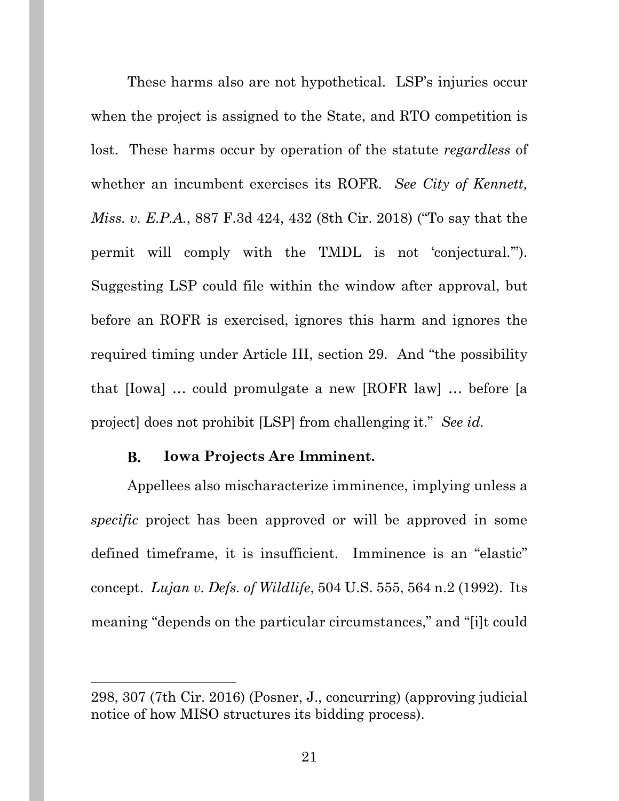These harms also are not hypothetical. LSP's injuries occur when the project is assigned to the State, and RTO competition is lost. These harms occur by operation of the statute *regardless* of whether an incumbent exercises its ROFR. *See City of Kennett, Miss. v. E.P.A.*, 887 F.3d 424, 432 (8th Cir. 2018) ("To say that the permit will comply with the TMDL is not 'conjectural.'"). Suggesting LSP could file within the window after approval, but before an ROFR is exercised, ignores this harm and ignores the required timing under Article III, section 29. And "the possibility that [Iowa] … could promulgate a new [ROFR law] … before [a project] does not prohibit [LSP] from challenging it." *See id.*

#### **Iowa Projects Are Imminent. B.**

Appellees also mischaracterize imminence, implying unless a *specific* project has been approved or will be approved in some defined timeframe, it is insufficient. Imminence is an "elastic" concept. *Lujan v. Defs. of Wildlife*, 504 U.S. 555, 564 n.2 (1992). Its meaning "depends on the particular circumstances," and "[i]t could

<sup>298, 307 (7</sup>th Cir. 2016) (Posner, J., concurring) (approving judicial notice of how MISO structures its bidding process).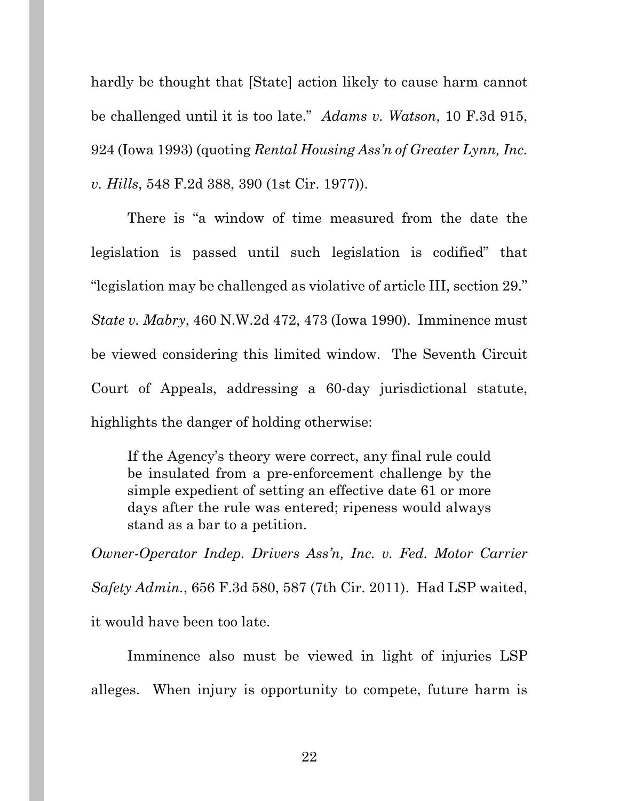hardly be thought that [State] action likely to cause harm cannot be challenged until it is too late." *Adams v. Watson*, 10 F.3d 915, 924 (Iowa 1993) (quoting *Rental Housing Ass'n of Greater Lynn, Inc. v. Hills*, 548 F.2d 388, 390 (1st Cir. 1977)).

There is "a window of time measured from the date the legislation is passed until such legislation is codified" that "legislation may be challenged as violative of article III, section 29." *State v. Mabry*, 460 N.W.2d 472, 473 (Iowa 1990). Imminence must be viewed considering this limited window. The Seventh Circuit Court of Appeals, addressing a 60-day jurisdictional statute, highlights the danger of holding otherwise:

If the Agency's theory were correct, any final rule could be insulated from a pre-enforcement challenge by the simple expedient of setting an effective date 61 or more days after the rule was entered; ripeness would always stand as a bar to a petition.

*Owner-Operator Indep. Drivers Ass'n, Inc. v. Fed. Motor Carrier Safety Admin.*, 656 F.3d 580, 587 (7th Cir. 2011). Had LSP waited, it would have been too late.

Imminence also must be viewed in light of injuries LSP alleges. When injury is opportunity to compete, future harm is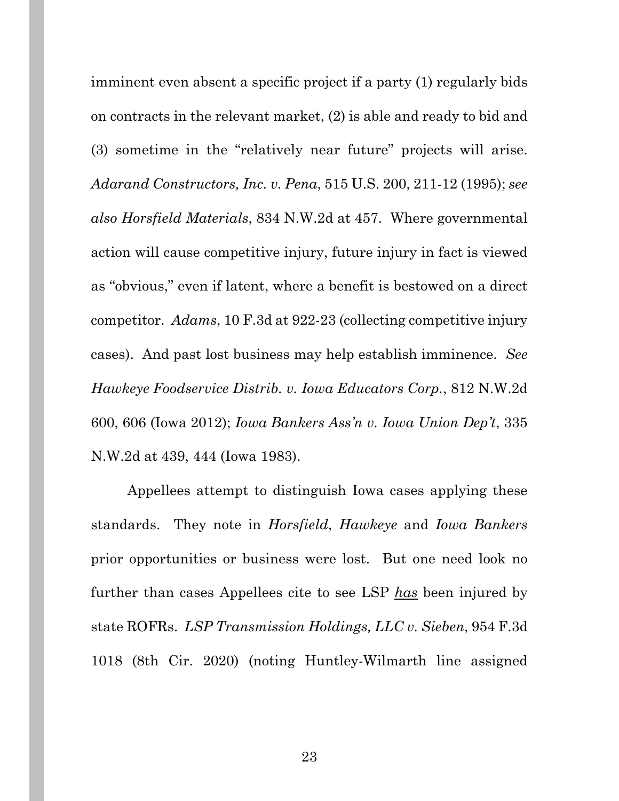imminent even absent a specific project if a party (1) regularly bids on contracts in the relevant market, (2) is able and ready to bid and (3) sometime in the "relatively near future" projects will arise. *Adarand Constructors, Inc. v. Pena*, 515 U.S. 200, 211-12 (1995); *see also Horsfield Materials*, 834 N.W.2d at 457. Where governmental action will cause competitive injury, future injury in fact is viewed as "obvious," even if latent, where a benefit is bestowed on a direct competitor. *Adams*, 10 F.3d at 922-23 (collecting competitive injury cases). And past lost business may help establish imminence. *See Hawkeye Foodservice Distrib. v. Iowa Educators Corp.*, 812 N.W.2d 600, 606 (Iowa 2012); *Iowa Bankers Ass'n v. Iowa Union Dep't*, 335 N.W.2d at 439, 444 (Iowa 1983).

Appellees attempt to distinguish Iowa cases applying these standards. They note in *Horsfield*, *Hawkeye* and *Iowa Bankers* prior opportunities or business were lost. But one need look no further than cases Appellees cite to see LSP *has* been injured by state ROFRs. *LSP Transmission Holdings, LLC v. Sieben*, 954 F.3d 1018 (8th Cir. 2020) (noting Huntley-Wilmarth line assigned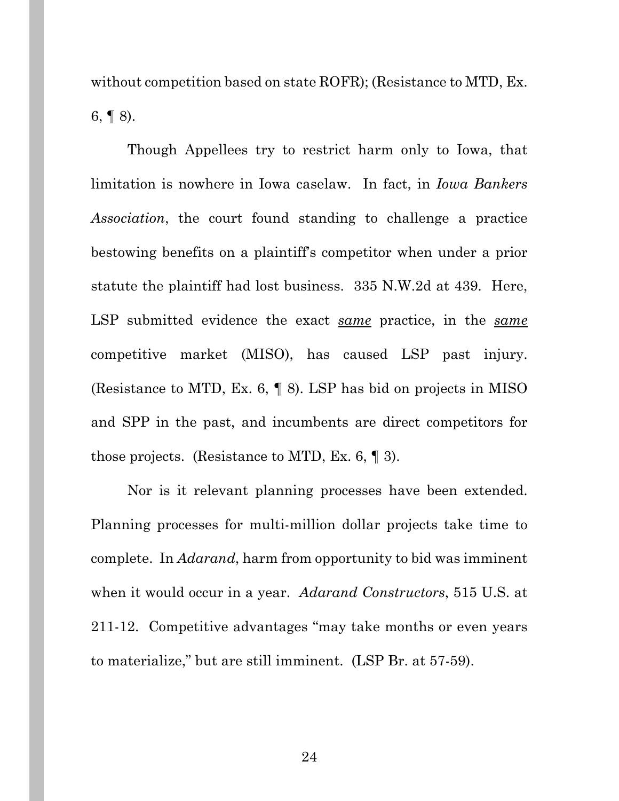without competition based on state ROFR); (Resistance to MTD, Ex.  $6, \P 8$ ).

Though Appellees try to restrict harm only to Iowa, that limitation is nowhere in Iowa caselaw. In fact, in *Iowa Bankers Association*, the court found standing to challenge a practice bestowing benefits on a plaintiff's competitor when under a prior statute the plaintiff had lost business. 335 N.W.2d at 439. Here, LSP submitted evidence the exact *same* practice, in the *same*  competitive market (MISO), has caused LSP past injury. (Resistance to MTD, Ex. 6, ¶ 8). LSP has bid on projects in MISO and SPP in the past, and incumbents are direct competitors for those projects. (Resistance to MTD, Ex. 6,  $\llbracket$  3).

Nor is it relevant planning processes have been extended. Planning processes for multi-million dollar projects take time to complete. In *Adarand*, harm from opportunity to bid was imminent when it would occur in a year. *Adarand Constructors*, 515 U.S. at 211-12. Competitive advantages "may take months or even years to materialize," but are still imminent. (LSP Br. at 57-59).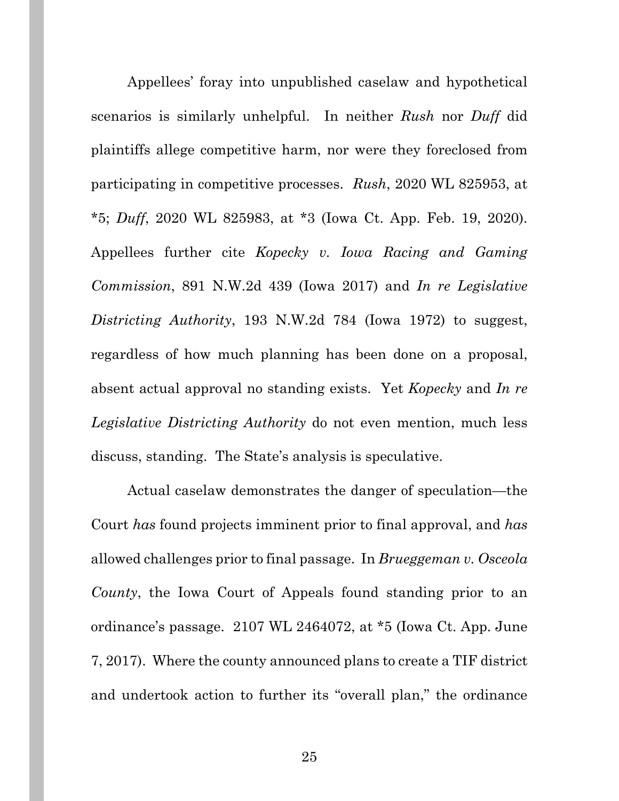Appellees' foray into unpublished caselaw and hypothetical scenarios is similarly unhelpful. In neither *Rush* nor *Duff* did plaintiffs allege competitive harm, nor were they foreclosed from participating in competitive processes. *Rush*, 2020 WL 825953, at \*5; *Duff*, 2020 WL 825983, at \*3 (Iowa Ct. App. Feb. 19, 2020). Appellees further cite *Kopecky v. Iowa Racing and Gaming Commission*, 891 N.W.2d 439 (Iowa 2017) and *In re Legislative Districting Authority*, 193 N.W.2d 784 (Iowa 1972) to suggest, regardless of how much planning has been done on a proposal, absent actual approval no standing exists. Yet *Kopecky* and *In re Legislative Districting Authority* do not even mention, much less discuss, standing. The State's analysis is speculative.

Actual caselaw demonstrates the danger of speculation—the Court *has* found projects imminent prior to final approval, and *has*  allowed challenges prior to final passage. In *Brueggeman v. Osceola County*, the Iowa Court of Appeals found standing prior to an ordinance's passage. 2107 WL 2464072, at \*5 (Iowa Ct. App. June 7, 2017). Where the county announced plans to create a TIF district and undertook action to further its "overall plan," the ordinance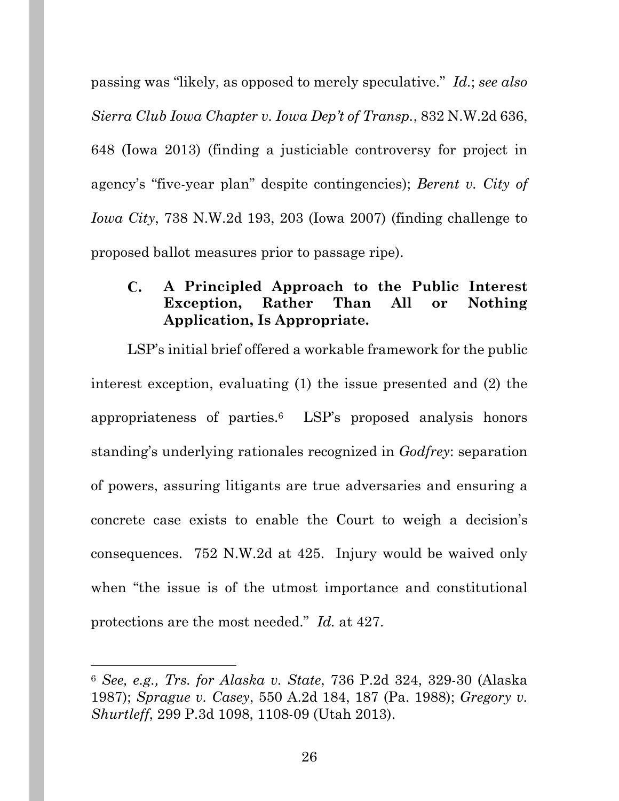passing was "likely, as opposed to merely speculative." *Id.*; *see also Sierra Club Iowa Chapter v. Iowa Dep't of Transp.*, 832 N.W.2d 636, 648 (Iowa 2013) (finding a justiciable controversy for project in agency's "five-year plan" despite contingencies); *Berent v. City of Iowa City*, 738 N.W.2d 193, 203 (Iowa 2007) (finding challenge to proposed ballot measures prior to passage ripe).

#### $\mathbf{C}$ . **A Principled Approach to the Public Interest Exception, Rather Than All or Nothing Application, Is Appropriate.**

LSP's initial brief offered a workable framework for the public interest exception, evaluating (1) the issue presented and (2) the appropriateness of parties.6 LSP's proposed analysis honors standing's underlying rationales recognized in *Godfrey*: separation of powers, assuring litigants are true adversaries and ensuring a concrete case exists to enable the Court to weigh a decision's consequences. 752 N.W.2d at 425. Injury would be waived only when "the issue is of the utmost importance and constitutional protections are the most needed." *Id.* at 427.

<sup>6</sup> *See, e.g., Trs. for Alaska v. State*, 736 P.2d 324, 329-30 (Alaska 1987); *Sprague v. Casey*, 550 A.2d 184, 187 (Pa. 1988); *Gregory v. Shurtleff*, 299 P.3d 1098, 1108-09 (Utah 2013).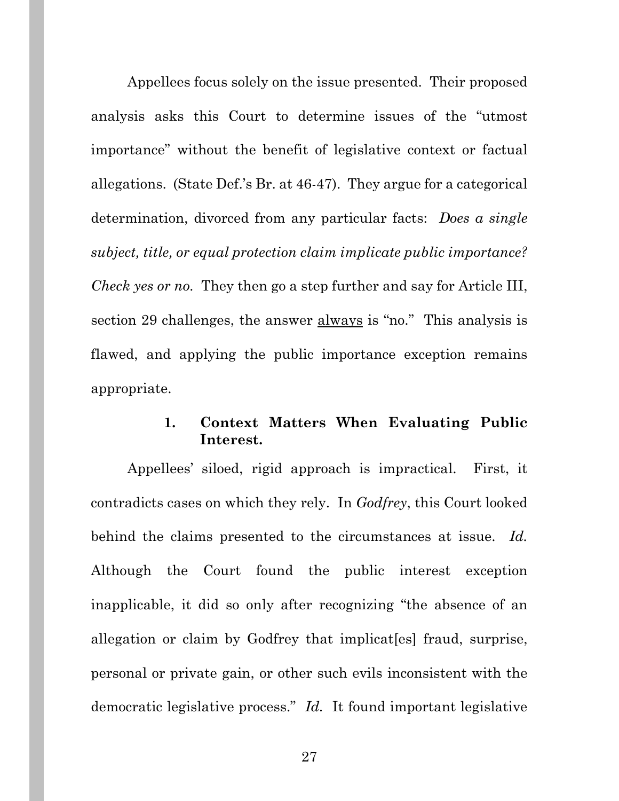Appellees focus solely on the issue presented. Their proposed analysis asks this Court to determine issues of the "utmost importance" without the benefit of legislative context or factual allegations. (State Def.'s Br. at 46-47). They argue for a categorical determination, divorced from any particular facts: *Does a single subject, title, or equal protection claim implicate public importance? Check yes or no.* They then go a step further and say for Article III, section 29 challenges, the answer always is "no." This analysis is flawed, and applying the public importance exception remains appropriate.

### **1. Context Matters When Evaluating Public Interest.**

Appellees' siloed, rigid approach is impractical. First, it contradicts cases on which they rely. In *Godfrey*, this Court looked behind the claims presented to the circumstances at issue. *Id.* Although the Court found the public interest exception inapplicable, it did so only after recognizing "the absence of an allegation or claim by Godfrey that implicat[es] fraud, surprise, personal or private gain, or other such evils inconsistent with the democratic legislative process." *Id.* It found important legislative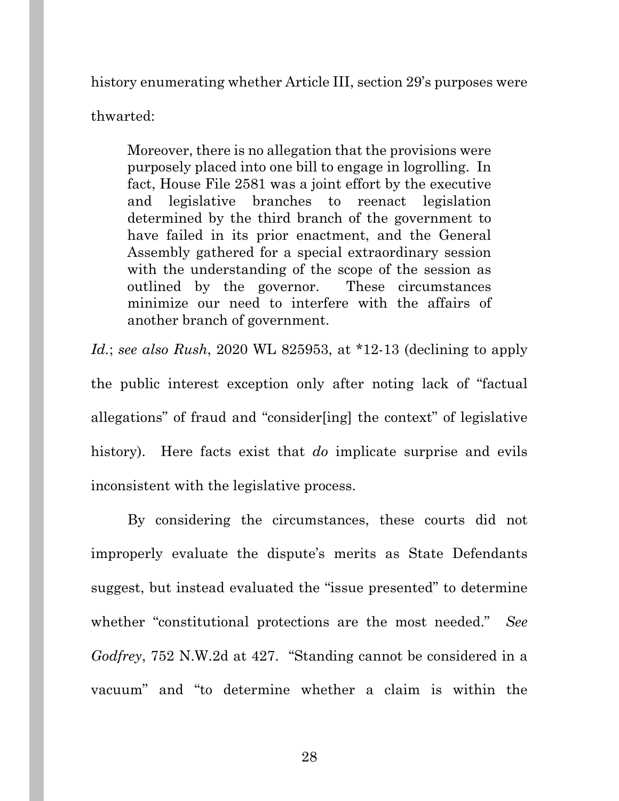history enumerating whether Article III, section 29's purposes were

thwarted:

Moreover, there is no allegation that the provisions were purposely placed into one bill to engage in logrolling. In fact, House File 2581 was a joint effort by the executive and legislative branches to reenact legislation determined by the third branch of the government to have failed in its prior enactment, and the General Assembly gathered for a special extraordinary session with the understanding of the scope of the session as outlined by the governor. These circumstances minimize our need to interfere with the affairs of another branch of government.

*Id.*; *see also Rush*, 2020 WL 825953, at \*12-13 (declining to apply the public interest exception only after noting lack of "factual allegations" of fraud and "consider[ing] the context" of legislative history). Here facts exist that *do* implicate surprise and evils inconsistent with the legislative process.

By considering the circumstances, these courts did not improperly evaluate the dispute's merits as State Defendants suggest, but instead evaluated the "issue presented" to determine whether "constitutional protections are the most needed." *See Godfrey*, 752 N.W.2d at 427. "Standing cannot be considered in a vacuum" and "to determine whether a claim is within the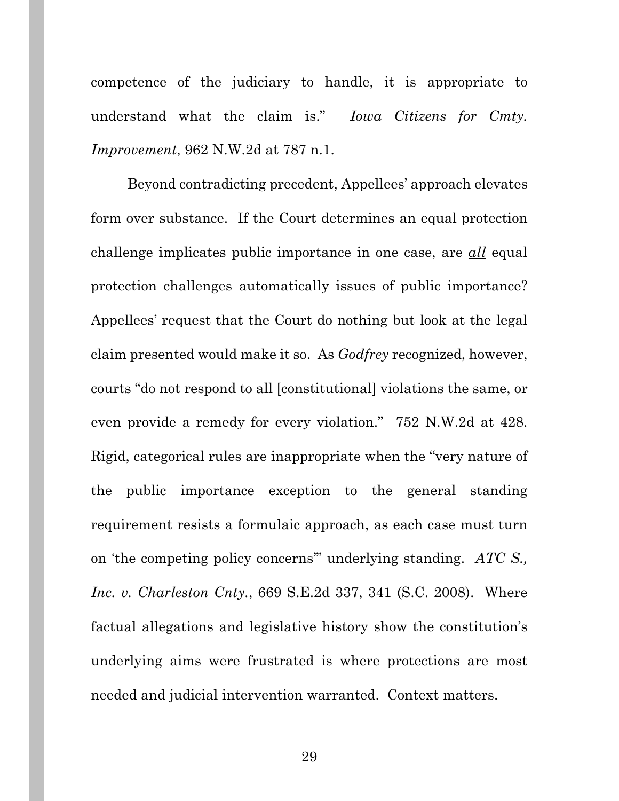competence of the judiciary to handle, it is appropriate to understand what the claim is." *Iowa Citizens for Cmty. Improvement*, 962 N.W.2d at 787 n.1.

Beyond contradicting precedent, Appellees' approach elevates form over substance. If the Court determines an equal protection challenge implicates public importance in one case, are *all* equal protection challenges automatically issues of public importance? Appellees' request that the Court do nothing but look at the legal claim presented would make it so. As *Godfrey* recognized, however, courts "do not respond to all [constitutional] violations the same, or even provide a remedy for every violation." 752 N.W.2d at 428. Rigid, categorical rules are inappropriate when the "very nature of the public importance exception to the general standing requirement resists a formulaic approach, as each case must turn on 'the competing policy concerns'" underlying standing. *ATC S., Inc. v. Charleston Cnty.*, 669 S.E.2d 337, 341 (S.C. 2008). Where factual allegations and legislative history show the constitution's underlying aims were frustrated is where protections are most needed and judicial intervention warranted. Context matters.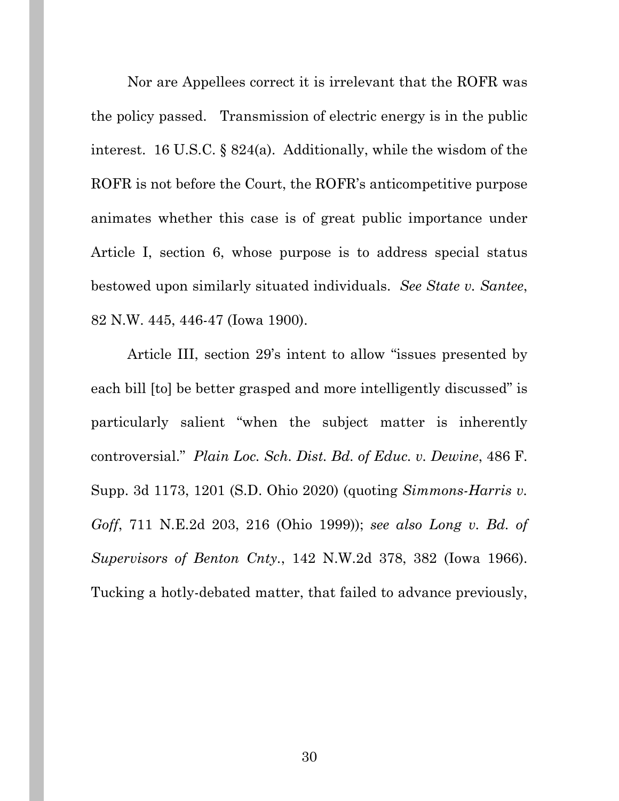Nor are Appellees correct it is irrelevant that the ROFR was the policy passed. Transmission of electric energy is in the public interest. 16 U.S.C. § 824(a). Additionally, while the wisdom of the ROFR is not before the Court, the ROFR's anticompetitive purpose animates whether this case is of great public importance under Article I, section 6, whose purpose is to address special status bestowed upon similarly situated individuals. *See State v. Santee*, 82 N.W. 445, 446-47 (Iowa 1900).

Article III, section 29's intent to allow "issues presented by each bill [to] be better grasped and more intelligently discussed" is particularly salient "when the subject matter is inherently controversial." *Plain Loc. Sch. Dist. Bd. of Educ. v. Dewine*, 486 F. Supp. 3d 1173, 1201 (S.D. Ohio 2020) (quoting *Simmons-Harris v. Goff*, 711 N.E.2d 203, 216 (Ohio 1999)); *see also Long v. Bd. of Supervisors of Benton Cnty.*, 142 N.W.2d 378, 382 (Iowa 1966). Tucking a hotly-debated matter, that failed to advance previously,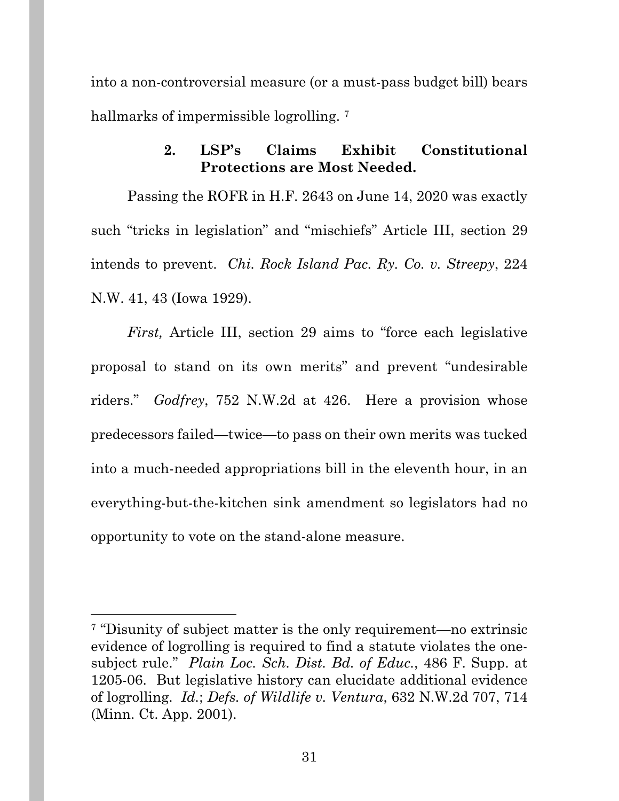into a non-controversial measure (or a must-pass budget bill) bears hallmarks of impermissible logrolling.<sup>7</sup>

## **2. LSP's Claims Exhibit Constitutional Protections are Most Needed.**

Passing the ROFR in H.F. 2643 on June 14, 2020 was exactly such "tricks in legislation" and "mischiefs" Article III, section 29 intends to prevent. *Chi. Rock Island Pac. Ry. Co. v. Streepy*, 224 N.W. 41, 43 (Iowa 1929).

*First,* Article III, section 29 aims to "force each legislative proposal to stand on its own merits" and prevent "undesirable riders." *Godfrey*, 752 N.W.2d at 426. Here a provision whose predecessors failed—twice—to pass on their own merits was tucked into a much-needed appropriations bill in the eleventh hour, in an everything-but-the-kitchen sink amendment so legislators had no opportunity to vote on the stand-alone measure.

<sup>7 &</sup>quot;Disunity of subject matter is the only requirement—no extrinsic evidence of logrolling is required to find a statute violates the onesubject rule." *Plain Loc. Sch. Dist. Bd. of Educ.*, 486 F. Supp. at 1205-06. But legislative history can elucidate additional evidence of logrolling. *Id.*; *Defs. of Wildlife v. Ventura*, 632 N.W.2d 707, 714 (Minn. Ct. App. 2001).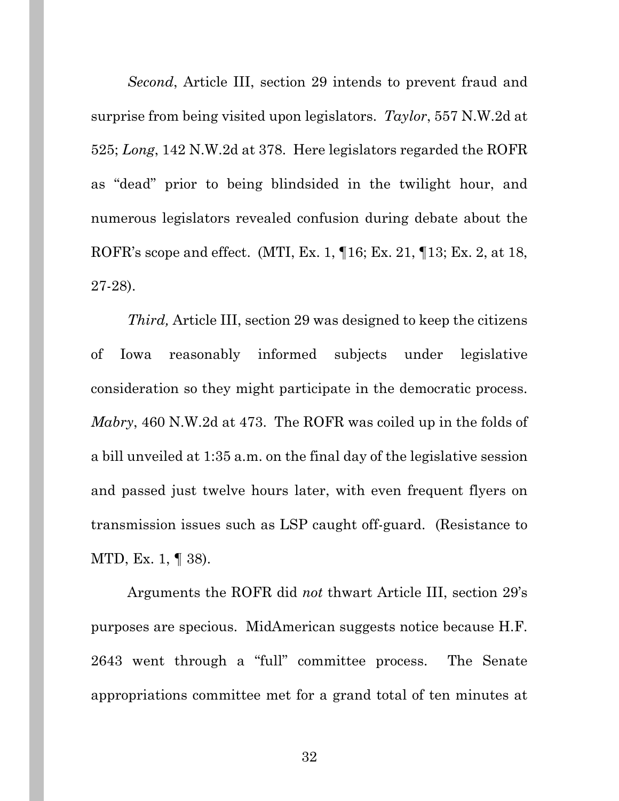*Second*, Article III, section 29 intends to prevent fraud and surprise from being visited upon legislators. *Taylor*, 557 N.W.2d at 525; *Long*, 142 N.W.2d at 378. Here legislators regarded the ROFR as "dead" prior to being blindsided in the twilight hour, and numerous legislators revealed confusion during debate about the ROFR's scope and effect. (MTI, Ex. 1, ¶16; Ex. 21, ¶13; Ex. 2, at 18, 27-28).

*Third,* Article III, section 29 was designed to keep the citizens of Iowa reasonably informed subjects under legislative consideration so they might participate in the democratic process. *Mabry*, 460 N.W.2d at 473.The ROFR was coiled up in the folds of a bill unveiled at 1:35 a.m. on the final day of the legislative session and passed just twelve hours later, with even frequent flyers on transmission issues such as LSP caught off-guard. (Resistance to MTD, Ex. 1, ¶ 38).

Arguments the ROFR did *not* thwart Article III, section 29's purposes are specious. MidAmerican suggests notice because H.F. 2643 went through a "full" committee process. The Senate appropriations committee met for a grand total of ten minutes at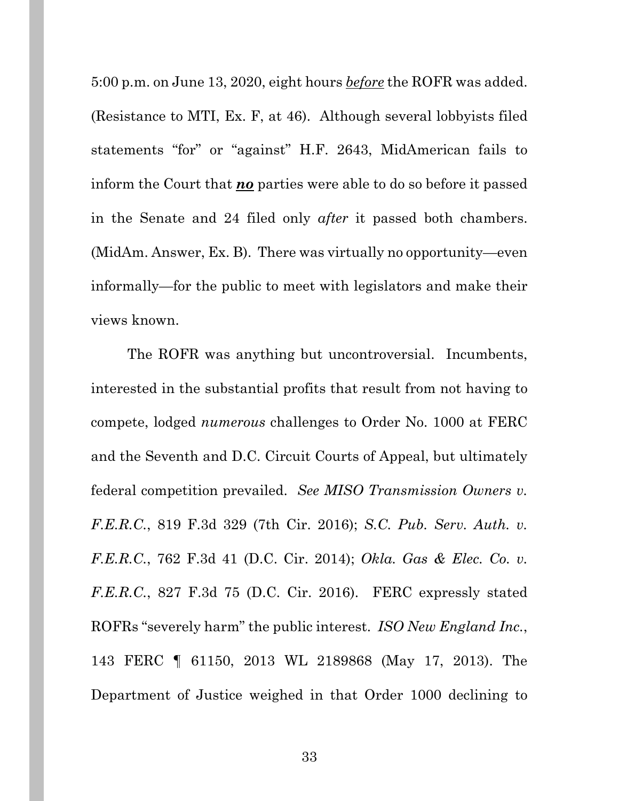5:00 p.m. on June 13, 2020, eight hours *before* the ROFR was added. (Resistance to MTI, Ex. F, at 46). Although several lobbyists filed statements "for" or "against" H.F. 2643, MidAmerican fails to inform the Court that *no* parties were able to do so before it passed in the Senate and 24 filed only *after* it passed both chambers. (MidAm. Answer, Ex. B). There was virtually no opportunity—even informally—for the public to meet with legislators and make their views known.

The ROFR was anything but uncontroversial. Incumbents, interested in the substantial profits that result from not having to compete, lodged *numerous* challenges to Order No. 1000 at FERC and the Seventh and D.C. Circuit Courts of Appeal, but ultimately federal competition prevailed. *See MISO Transmission Owners v. F.E.R.C.*, 819 F.3d 329 (7th Cir. 2016); *S.C. Pub. Serv. Auth. v. F.E.R.C.*, 762 F.3d 41 (D.C. Cir. 2014); *Okla. Gas & Elec. Co. v. F.E.R.C.*, 827 F.3d 75 (D.C. Cir. 2016). FERC expressly stated ROFRs "severely harm" the public interest. *ISO New England Inc.*, 143 FERC ¶ 61150, 2013 WL 2189868 (May 17, 2013). The Department of Justice weighed in that Order 1000 declining to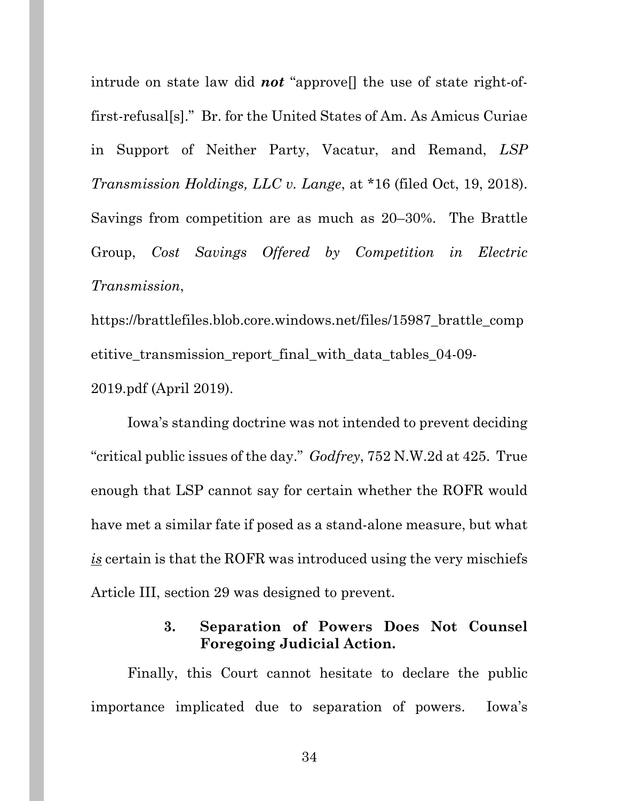intrude on state law did *not* "approve[] the use of state right-offirst-refusal[s]." Br. for the United States of Am. As Amicus Curiae in Support of Neither Party, Vacatur, and Remand, *LSP Transmission Holdings, LLC v. Lange*, at \*16 (filed Oct, 19, 2018). Savings from competition are as much as 20–30%. The Brattle Group, *Cost Savings Offered by Competition in Electric Transmission*,

https://brattlefiles.blob.core.windows.net/files/15987\_brattle\_comp etitive\_transmission\_report\_final\_with\_data\_tables\_04-09- 2019.pdf (April 2019).

Iowa's standing doctrine was not intended to prevent deciding "critical public issues of the day." *Godfrey*, 752 N.W.2d at 425.True enough that LSP cannot say for certain whether the ROFR would have met a similar fate if posed as a stand-alone measure, but what *is* certain is that the ROFR was introduced using the very mischiefs Article III, section 29 was designed to prevent.

### **3. Separation of Powers Does Not Counsel Foregoing Judicial Action.**

Finally, this Court cannot hesitate to declare the public importance implicated due to separation of powers. Iowa's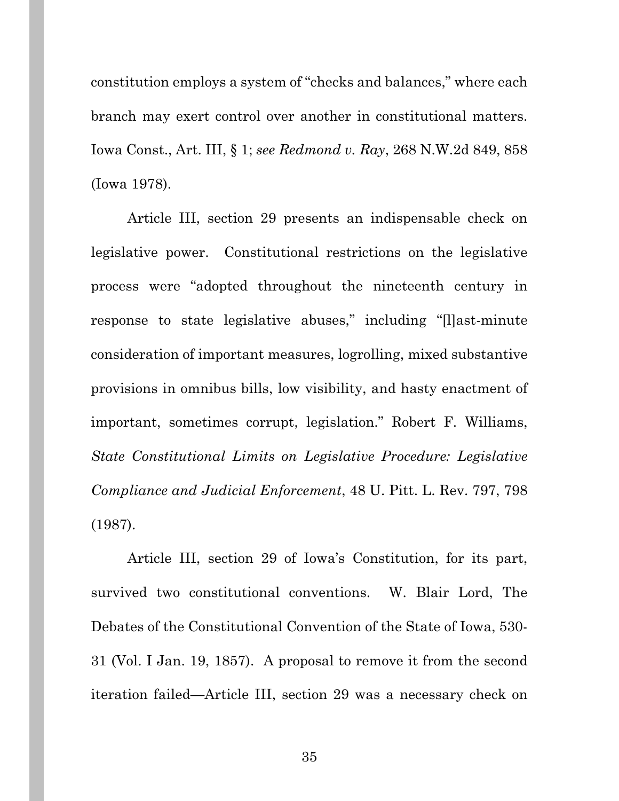constitution employs a system of "checks and balances," where each branch may exert control over another in constitutional matters. Iowa Const., Art. III, § 1; *see Redmond v. Ray*, 268 N.W.2d 849, 858 (Iowa 1978).

Article III, section 29 presents an indispensable check on legislative power. Constitutional restrictions on the legislative process were "adopted throughout the nineteenth century in response to state legislative abuses," including "[l]ast-minute consideration of important measures, logrolling, mixed substantive provisions in omnibus bills, low visibility, and hasty enactment of important, sometimes corrupt, legislation." Robert F. Williams, *State Constitutional Limits on Legislative Procedure: Legislative Compliance and Judicial Enforcement*, 48 U. Pitt. L. Rev. 797, 798 (1987).

Article III, section 29 of Iowa's Constitution, for its part, survived two constitutional conventions. W. Blair Lord, The Debates of the Constitutional Convention of the State of Iowa, 530- 31 (Vol. I Jan. 19, 1857). A proposal to remove it from the second iteration failed—Article III, section 29 was a necessary check on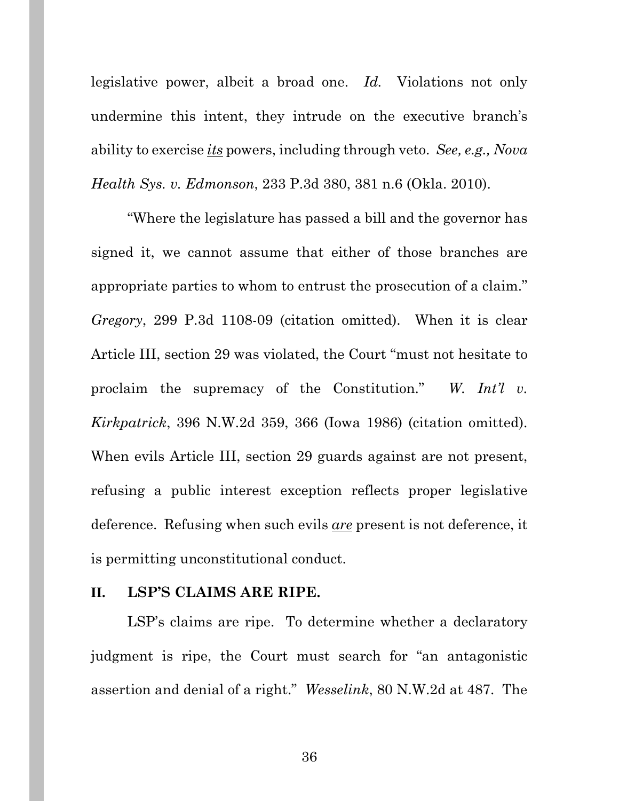legislative power, albeit a broad one. *Id.* Violations not only undermine this intent, they intrude on the executive branch's ability to exercise *its* powers, including through veto. *See, e.g., Nova Health Sys. v. Edmonson*, 233 P.3d 380, 381 n.6 (Okla. 2010).

"Where the legislature has passed a bill and the governor has signed it, we cannot assume that either of those branches are appropriate parties to whom to entrust the prosecution of a claim." *Gregory*, 299 P.3d 1108-09 (citation omitted). When it is clear Article III, section 29 was violated, the Court "must not hesitate to proclaim the supremacy of the Constitution." *W. Int'l v. Kirkpatrick*, 396 N.W.2d 359, 366 (Iowa 1986) (citation omitted). When evils Article III, section 29 guards against are not present, refusing a public interest exception reflects proper legislative deference. Refusing when such evils *are* present is not deference, it is permitting unconstitutional conduct.

### **II. LSP'S CLAIMS ARE RIPE.**

LSP's claims are ripe. To determine whether a declaratory judgment is ripe, the Court must search for "an antagonistic assertion and denial of a right." *Wesselink*, 80 N.W.2d at 487. The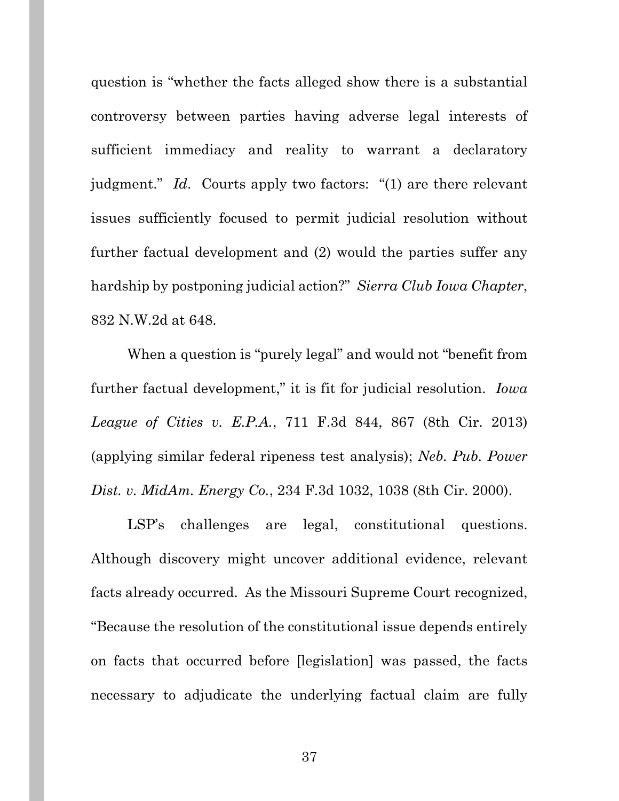question is "whether the facts alleged show there is a substantial controversy between parties having adverse legal interests of sufficient immediacy and reality to warrant a declaratory judgment." *Id*. Courts apply two factors: "(1) are there relevant issues sufficiently focused to permit judicial resolution without further factual development and (2) would the parties suffer any hardship by postponing judicial action?" *Sierra Club Iowa Chapter*, 832 N.W.2d at 648.

When a question is "purely legal" and would not "benefit from further factual development," it is fit for judicial resolution. *Iowa League of Cities v. E.P.A.*, 711 F.3d 844, 867 (8th Cir. 2013) (applying similar federal ripeness test analysis); *Neb. Pub. Power Dist. v. MidAm. Energy Co.*, 234 F.3d 1032, 1038 (8th Cir. 2000).

LSP's challenges are legal, constitutional questions. Although discovery might uncover additional evidence, relevant facts already occurred. As the Missouri Supreme Court recognized, "Because the resolution of the constitutional issue depends entirely on facts that occurred before [legislation] was passed, the facts necessary to adjudicate the underlying factual claim are fully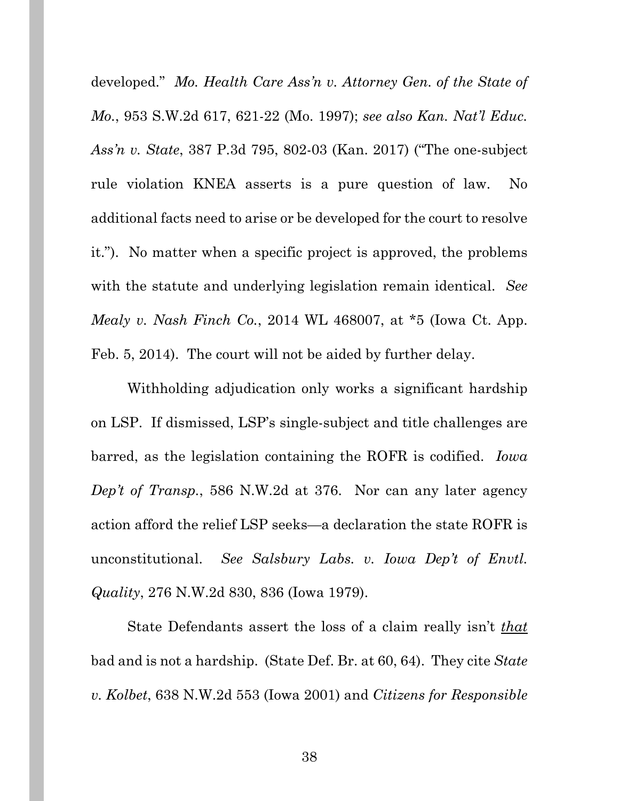developed." *Mo. Health Care Ass'n v. Attorney Gen. of the State of Mo.*, 953 S.W.2d 617, 621-22 (Mo. 1997); *see also Kan. Nat'l Educ. Ass'n v. State*, 387 P.3d 795, 802-03 (Kan. 2017) ("The one-subject rule violation KNEA asserts is a pure question of law. No additional facts need to arise or be developed for the court to resolve it."). No matter when a specific project is approved, the problems with the statute and underlying legislation remain identical. *See Mealy v. Nash Finch Co.*, 2014 WL 468007, at \*5 (Iowa Ct. App. Feb. 5, 2014). The court will not be aided by further delay.

Withholding adjudication only works a significant hardship on LSP. If dismissed, LSP's single-subject and title challenges are barred, as the legislation containing the ROFR is codified. *Iowa Dep't of Transp.*, 586 N.W.2d at 376. Nor can any later agency action afford the relief LSP seeks—a declaration the state ROFR is unconstitutional. *See Salsbury Labs. v. Iowa Dep't of Envtl. Quality*, 276 N.W.2d 830, 836 (Iowa 1979).

State Defendants assert the loss of a claim really isn't *that* bad and is not a hardship. (State Def. Br. at 60, 64). They cite *State v. Kolbet*, 638 N.W.2d 553 (Iowa 2001) and *Citizens for Responsible*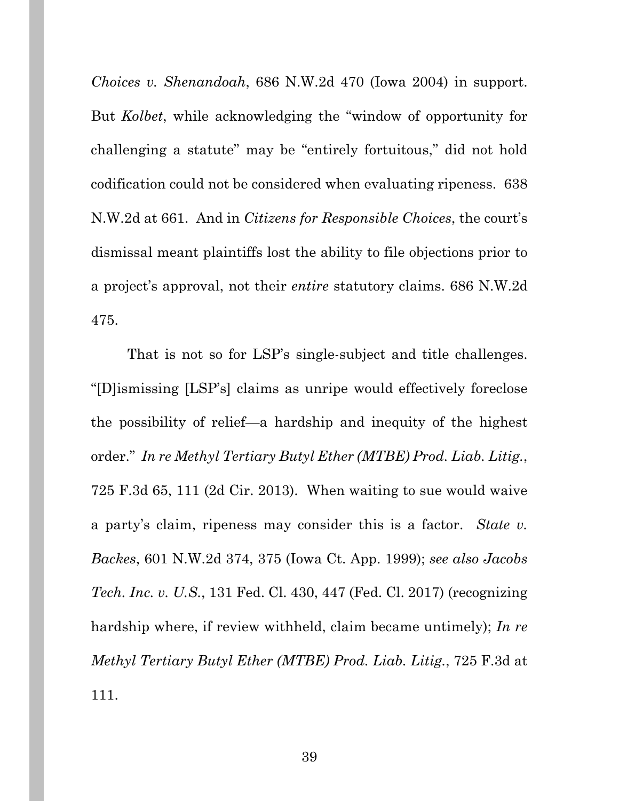*Choices v. Shenandoah*, 686 N.W.2d 470 (Iowa 2004) in support. But *Kolbet*, while acknowledging the "window of opportunity for challenging a statute" may be "entirely fortuitous," did not hold codification could not be considered when evaluating ripeness. 638 N.W.2d at 661. And in *Citizens for Responsible Choices*, the court's dismissal meant plaintiffs lost the ability to file objections prior to a project's approval, not their *entire* statutory claims. 686 N.W.2d 475.

That is not so for LSP's single-subject and title challenges. "[D]ismissing [LSP's] claims as unripe would effectively foreclose the possibility of relief—a hardship and inequity of the highest order." *In re Methyl Tertiary Butyl Ether (MTBE) Prod. Liab. Litig.*, 725 F.3d 65, 111 (2d Cir. 2013). When waiting to sue would waive a party's claim, ripeness may consider this is a factor. *State v. Backes*, 601 N.W.2d 374, 375 (Iowa Ct. App. 1999); *see also Jacobs Tech. Inc. v. U.S.*, 131 Fed. Cl. 430, 447 (Fed. Cl. 2017) (recognizing hardship where, if review withheld, claim became untimely); *In re Methyl Tertiary Butyl Ether (MTBE) Prod. Liab. Litig.*, 725 F.3d at 111.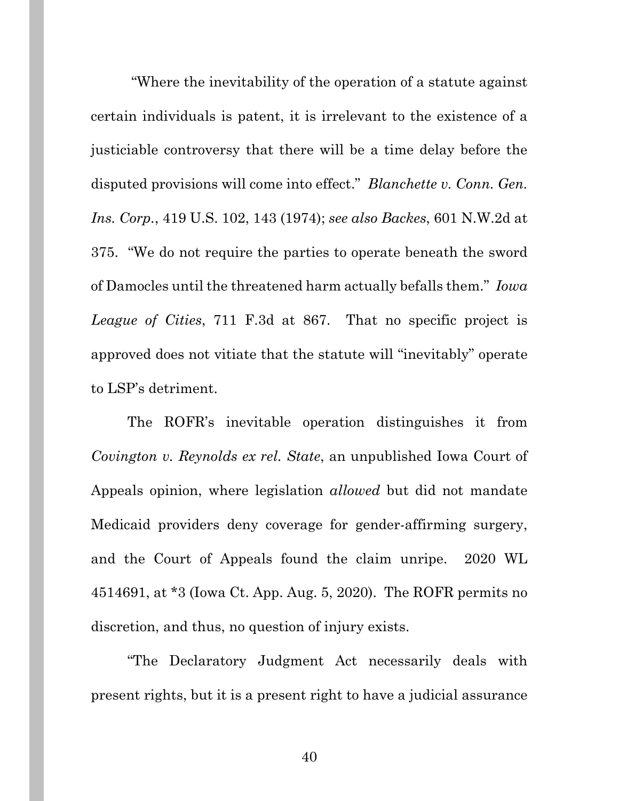"Where the inevitability of the operation of a statute against certain individuals is patent, it is irrelevant to the existence of a justiciable controversy that there will be a time delay before the disputed provisions will come into effect." *Blanchette v. Conn. Gen. Ins. Corp.*, 419 U.S. 102, 143 (1974); *see also Backes*, 601 N.W.2d at 375. "We do not require the parties to operate beneath the sword of Damocles until the threatened harm actually befalls them." *Iowa League of Cities*, 711 F.3d at 867. That no specific project is approved does not vitiate that the statute will "inevitably" operate to LSP's detriment.

The ROFR's inevitable operation distinguishes it from *Covington v. Reynolds ex rel. State*, an unpublished Iowa Court of Appeals opinion, where legislation *allowed* but did not mandate Medicaid providers deny coverage for gender-affirming surgery, and the Court of Appeals found the claim unripe. 2020 WL 4514691, at \*3 (Iowa Ct. App. Aug. 5, 2020). The ROFR permits no discretion, and thus, no question of injury exists.

 "The Declaratory Judgment Act necessarily deals with present rights, but it is a present right to have a judicial assurance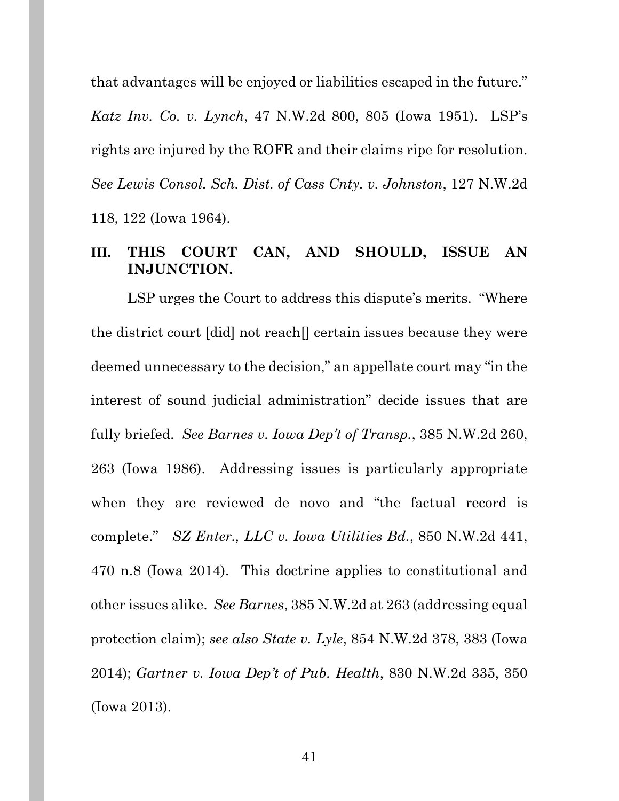that advantages will be enjoyed or liabilities escaped in the future."

*Katz Inv. Co. v. Lynch*, 47 N.W.2d 800, 805 (Iowa 1951). LSP's rights are injured by the ROFR and their claims ripe for resolution. *See Lewis Consol. Sch. Dist. of Cass Cnty. v. Johnston*, 127 N.W.2d 118, 122 (Iowa 1964).

### **III. THIS COURT CAN, AND SHOULD, ISSUE AN INJUNCTION.**

LSP urges the Court to address this dispute's merits. "Where the district court [did] not reach[] certain issues because they were deemed unnecessary to the decision," an appellate court may "in the interest of sound judicial administration" decide issues that are fully briefed. *See Barnes v. Iowa Dep't of Transp.*, 385 N.W.2d 260, 263 (Iowa 1986). Addressing issues is particularly appropriate when they are reviewed de novo and "the factual record is complete." *SZ Enter., LLC v. Iowa Utilities Bd.*, 850 N.W.2d 441, 470 n.8 (Iowa 2014). This doctrine applies to constitutional and other issues alike. *See Barnes*, 385 N.W.2d at 263 (addressing equal protection claim); *see also State v. Lyle*, 854 N.W.2d 378, 383 (Iowa 2014); *Gartner v. Iowa Dep't of Pub. Health*, 830 N.W.2d 335, 350 (Iowa 2013).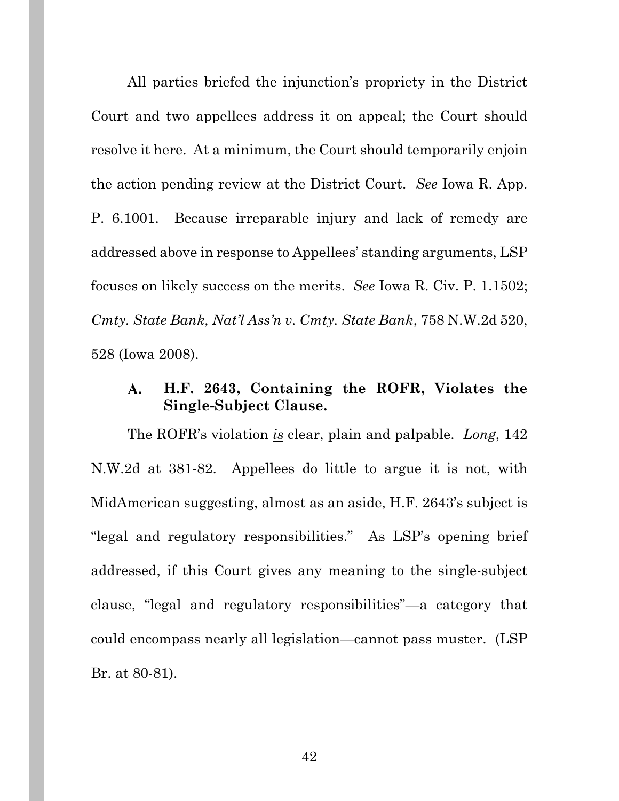All parties briefed the injunction's propriety in the District Court and two appellees address it on appeal; the Court should resolve it here. At a minimum, the Court should temporarily enjoin the action pending review at the District Court. *See* Iowa R. App. P. 6.1001. Because irreparable injury and lack of remedy are addressed above in response to Appellees' standing arguments, LSP focuses on likely success on the merits. *See* Iowa R. Civ. P. 1.1502; *Cmty. State Bank, Nat'l Ass'n v. Cmty. State Bank*, 758 N.W.2d 520, 528 (Iowa 2008).

#### **H.F. 2643, Containing the ROFR, Violates the**   $\mathbf{A}$ . **Single-Subject Clause.**

The ROFR's violation *is* clear, plain and palpable. *Long*, 142 N.W.2d at 381-82. Appellees do little to argue it is not, with MidAmerican suggesting, almost as an aside, H.F. 2643's subject is "legal and regulatory responsibilities." As LSP's opening brief addressed, if this Court gives any meaning to the single-subject clause, "legal and regulatory responsibilities"—a category that could encompass nearly all legislation—cannot pass muster. (LSP Br. at 80-81).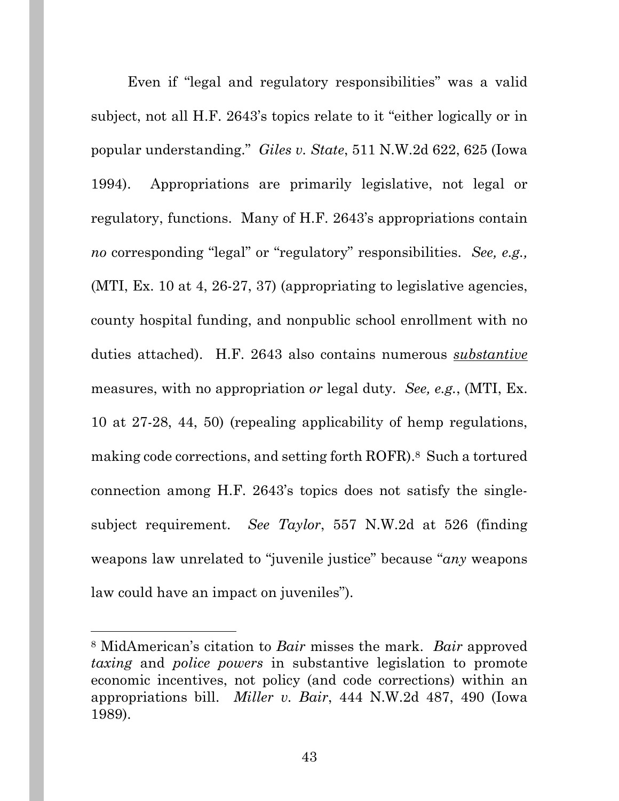Even if "legal and regulatory responsibilities" was a valid subject, not all H.F. 2643's topics relate to it "either logically or in popular understanding." *Giles v. State*, 511 N.W.2d 622, 625 (Iowa 1994). Appropriations are primarily legislative, not legal or regulatory, functions. Many of H.F. 2643's appropriations contain *no* corresponding "legal" or "regulatory" responsibilities. *See, e.g.,* (MTI, Ex. 10 at 4, 26-27, 37) (appropriating to legislative agencies, county hospital funding, and nonpublic school enrollment with no duties attached). H.F. 2643 also contains numerous *substantive* measures, with no appropriation *or* legal duty. *See, e.g.*, (MTI, Ex. 10 at 27-28, 44, 50) (repealing applicability of hemp regulations, making code corrections, and setting forth ROFR).8 Such a tortured connection among H.F. 2643's topics does not satisfy the singlesubject requirement. *See Taylor*, 557 N.W.2d at 526 (finding weapons law unrelated to "juvenile justice" because "*any* weapons law could have an impact on juveniles").

<sup>8</sup> MidAmerican's citation to *Bair* misses the mark. *Bair* approved *taxing* and *police powers* in substantive legislation to promote economic incentives, not policy (and code corrections) within an appropriations bill. *Miller v. Bair*, 444 N.W.2d 487, 490 (Iowa 1989).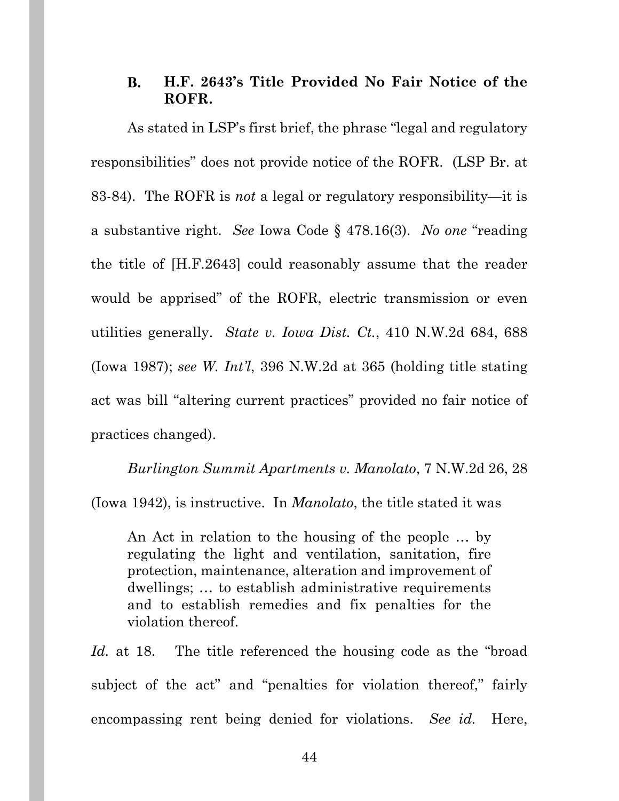#### **H.F. 2643's Title Provided No Fair Notice of the B. ROFR.**

As stated in LSP's first brief, the phrase "legal and regulatory responsibilities" does not provide notice of the ROFR. (LSP Br. at 83-84). The ROFR is *not* a legal or regulatory responsibility—it is a substantive right. *See* Iowa Code § 478.16(3). *No one* "reading the title of [H.F.2643] could reasonably assume that the reader would be apprised" of the ROFR, electric transmission or even utilities generally. *State v. Iowa Dist. Ct.*, 410 N.W.2d 684, 688 (Iowa 1987); *see W. Int'l*, 396 N.W.2d at 365 (holding title stating act was bill "altering current practices" provided no fair notice of practices changed).

*Burlington Summit Apartments v. Manolato*, 7 N.W.2d 26, 28 (Iowa 1942), is instructive. In *Manolato*, the title stated it was

An Act in relation to the housing of the people … by regulating the light and ventilation, sanitation, fire protection, maintenance, alteration and improvement of dwellings; … to establish administrative requirements and to establish remedies and fix penalties for the violation thereof.

*Id.* at 18. The title referenced the housing code as the "broad subject of the act" and "penalties for violation thereof," fairly encompassing rent being denied for violations. *See id.* Here,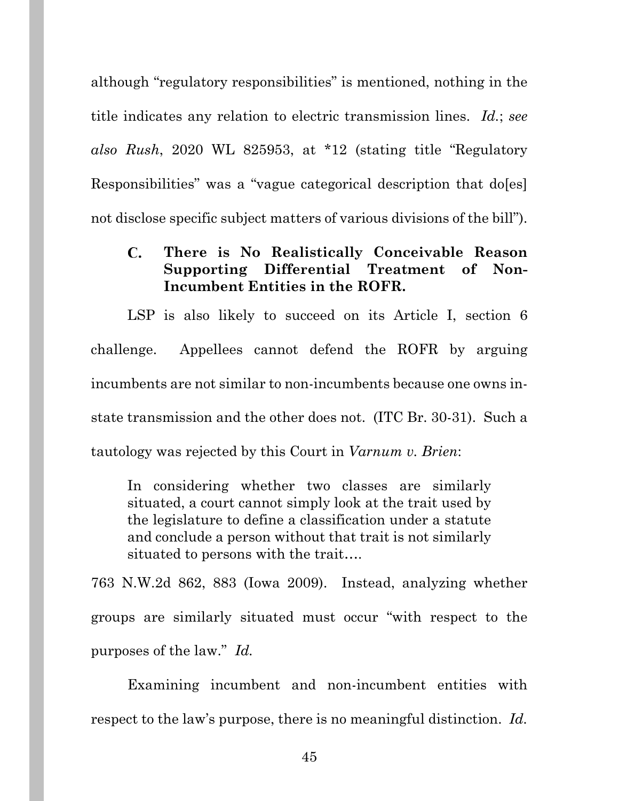although "regulatory responsibilities" is mentioned, nothing in the title indicates any relation to electric transmission lines. *Id.*; *see also Rush*, 2020 WL 825953, at \*12 (stating title "Regulatory Responsibilities" was a "vague categorical description that do[es] not disclose specific subject matters of various divisions of the bill").

#### $\mathbf{C}$ . **There is No Realistically Conceivable Reason Supporting Differential Treatment of Non-Incumbent Entities in the ROFR.**

LSP is also likely to succeed on its Article I, section 6 challenge. Appellees cannot defend the ROFR by arguing incumbents are not similar to non-incumbents because one owns instate transmission and the other does not. (ITC Br. 30-31). Such a tautology was rejected by this Court in *Varnum v. Brien*:

In considering whether two classes are similarly situated, a court cannot simply look at the trait used by the legislature to define a classification under a statute and conclude a person without that trait is not similarly situated to persons with the trait….

763 N.W.2d 862, 883 (Iowa 2009). Instead, analyzing whether groups are similarly situated must occur "with respect to the purposes of the law." *Id.*

Examining incumbent and non-incumbent entities with respect to the law's purpose, there is no meaningful distinction. *Id.*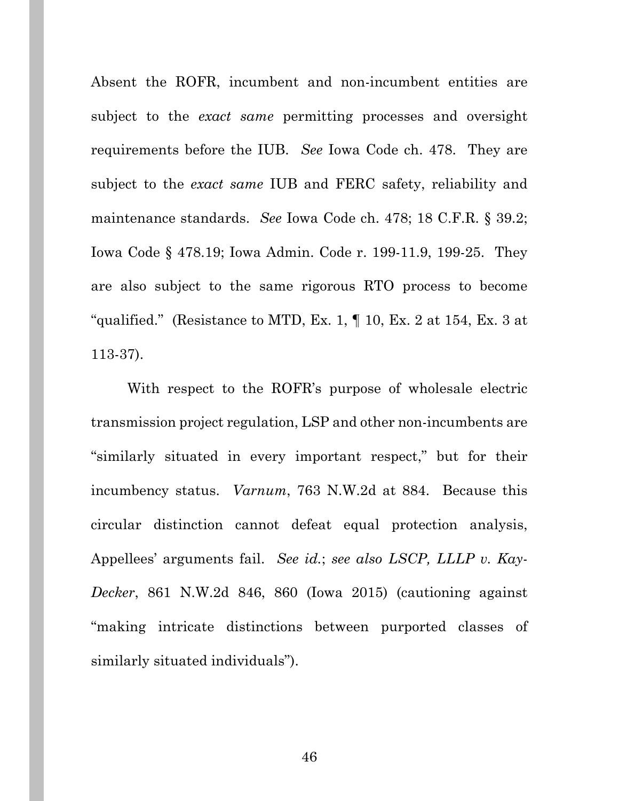Absent the ROFR, incumbent and non-incumbent entities are subject to the *exact same* permitting processes and oversight requirements before the IUB. *See* Iowa Code ch. 478. They are subject to the *exact same* IUB and FERC safety, reliability and maintenance standards. *See* Iowa Code ch. 478; 18 C.F.R. § 39.2; Iowa Code § 478.19; Iowa Admin. Code r. 199-11.9, 199-25. They are also subject to the same rigorous RTO process to become "qualified." (Resistance to MTD, Ex. 1,  $\P$  10, Ex. 2 at 154, Ex. 3 at 113-37).

With respect to the ROFR's purpose of wholesale electric transmission project regulation, LSP and other non-incumbents are "similarly situated in every important respect," but for their incumbency status. *Varnum*, 763 N.W.2d at 884.Because this circular distinction cannot defeat equal protection analysis, Appellees' arguments fail. *See id.*; *see also LSCP, LLLP v. Kay-Decker*, 861 N.W.2d 846, 860 (Iowa 2015) (cautioning against "making intricate distinctions between purported classes of similarly situated individuals").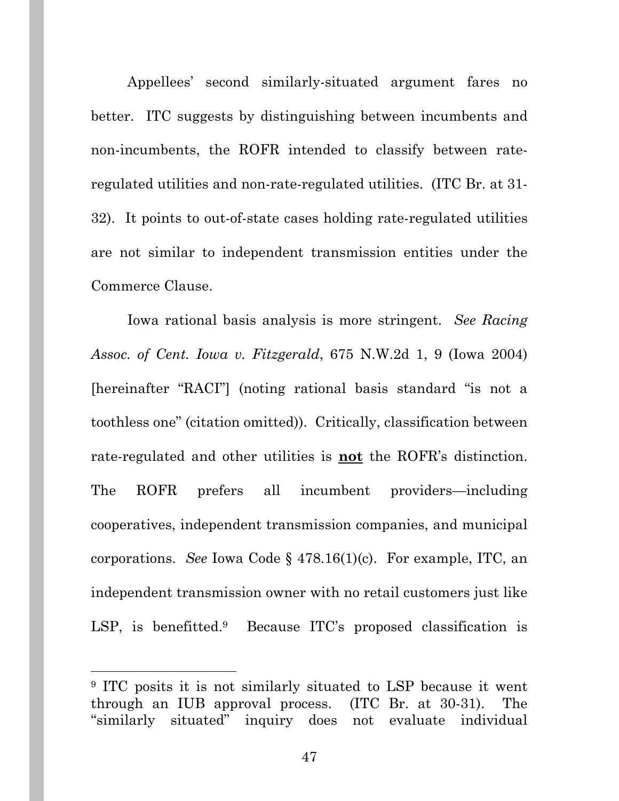Appellees' second similarly-situated argument fares no better. ITC suggests by distinguishing between incumbents and non-incumbents, the ROFR intended to classify between rateregulated utilities and non-rate-regulated utilities. (ITC Br. at 31- 32). It points to out-of-state cases holding rate-regulated utilities are not similar to independent transmission entities under the Commerce Clause.

Iowa rational basis analysis is more stringent. *See Racing Assoc. of Cent. Iowa v. Fitzgerald*, 675 N.W.2d 1, 9 (Iowa 2004) [hereinafter "RACI"] (noting rational basis standard "is not a toothless one" (citation omitted)). Critically, classification between rate-regulated and other utilities is **not** the ROFR's distinction. The ROFR prefers all incumbent providers—including cooperatives, independent transmission companies, and municipal corporations. *See* Iowa Code § 478.16(1)(c). For example, ITC, an independent transmission owner with no retail customers just like LSP, is benefitted.<sup>9</sup> Because ITC's proposed classification is

<sup>9</sup> ITC posits it is not similarly situated to LSP because it went through an IUB approval process. (ITC Br. at 30-31). The "similarly situated" inquiry does not evaluate individual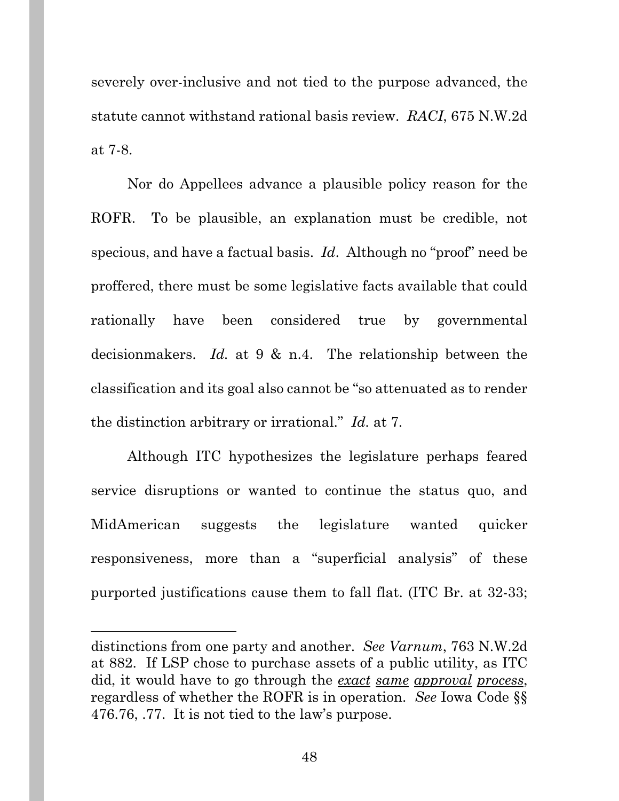severely over-inclusive and not tied to the purpose advanced, the statute cannot withstand rational basis review. *RACI*, 675 N.W.2d at 7-8.

Nor do Appellees advance a plausible policy reason for the ROFR. To be plausible, an explanation must be credible, not specious, and have a factual basis. *Id*. Although no "proof" need be proffered, there must be some legislative facts available that could rationally have been considered true by governmental decisionmakers. *Id.* at 9 & n.4. The relationship between the classification and its goal also cannot be "so attenuated as to render the distinction arbitrary or irrational." *Id.* at 7.

Although ITC hypothesizes the legislature perhaps feared service disruptions or wanted to continue the status quo, and MidAmerican suggests the legislature wanted quicker responsiveness, more than a "superficial analysis" of these purported justifications cause them to fall flat. (ITC Br. at 32-33;

distinctions from one party and another. *See Varnum*, 763 N.W.2d at 882. If LSP chose to purchase assets of a public utility, as ITC did, it would have to go through the *exact same approval process*, regardless of whether the ROFR is in operation. *See* Iowa Code §§ 476.76, .77. It is not tied to the law's purpose.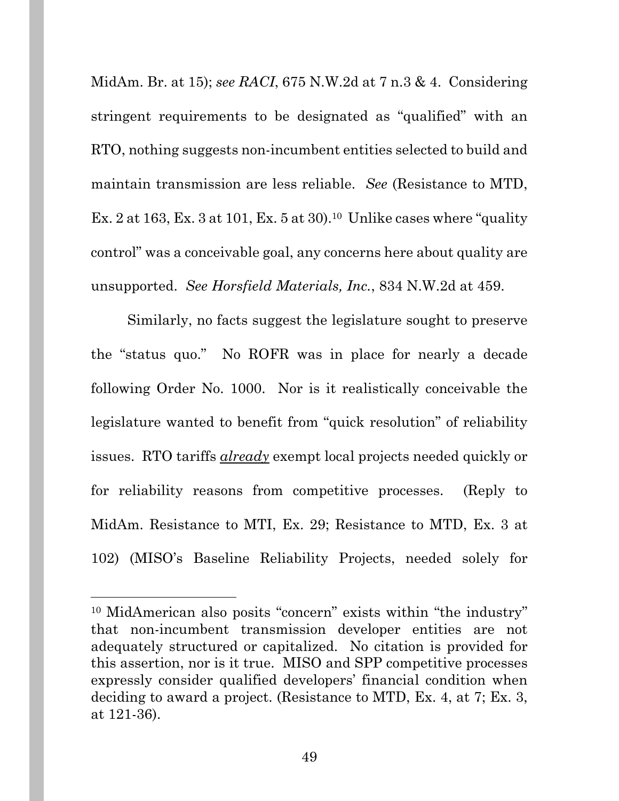MidAm. Br. at 15); *see RACI*, 675 N.W.2d at 7 n.3 & 4. Considering stringent requirements to be designated as "qualified" with an RTO, nothing suggests non-incumbent entities selected to build and maintain transmission are less reliable. *See* (Resistance to MTD, Ex. 2 at 163, Ex. 3 at 101, Ex. 5 at 30).<sup>10</sup> Unlike cases where "quality" control" was a conceivable goal, any concerns here about quality are unsupported. *See Horsfield Materials, Inc.*, 834 N.W.2d at 459.

Similarly, no facts suggest the legislature sought to preserve the "status quo." No ROFR was in place for nearly a decade following Order No. 1000. Nor is it realistically conceivable the legislature wanted to benefit from "quick resolution" of reliability issues. RTO tariffs *already* exempt local projects needed quickly or for reliability reasons from competitive processes. (Reply to MidAm. Resistance to MTI, Ex. 29; Resistance to MTD, Ex. 3 at 102) (MISO's Baseline Reliability Projects, needed solely for

<sup>10</sup> MidAmerican also posits "concern" exists within "the industry" that non-incumbent transmission developer entities are not adequately structured or capitalized. No citation is provided for this assertion, nor is it true. MISO and SPP competitive processes expressly consider qualified developers' financial condition when deciding to award a project. (Resistance to MTD, Ex. 4, at 7; Ex. 3, at 121-36).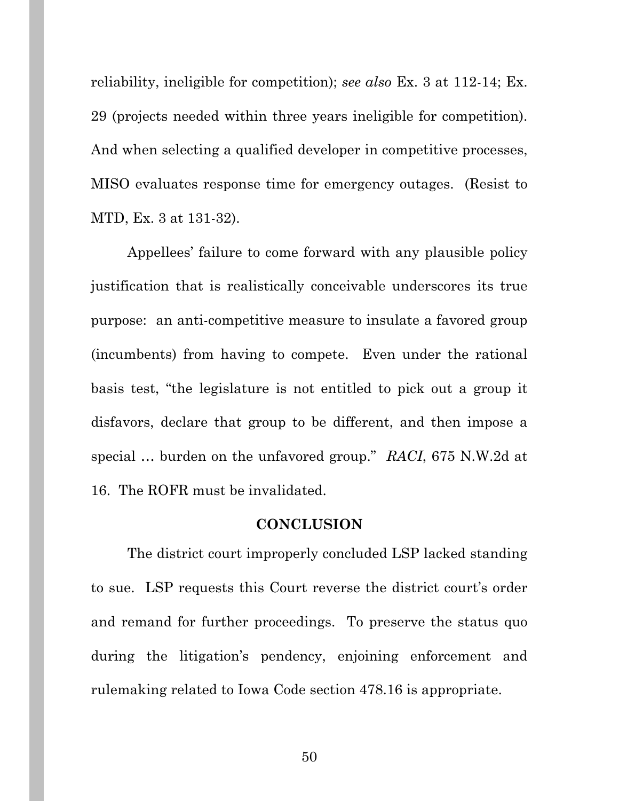reliability, ineligible for competition); *see also* Ex. 3 at 112-14; Ex. 29 (projects needed within three years ineligible for competition). And when selecting a qualified developer in competitive processes, MISO evaluates response time for emergency outages. (Resist to MTD, Ex. 3 at 131-32).

Appellees' failure to come forward with any plausible policy justification that is realistically conceivable underscores its true purpose: an anti-competitive measure to insulate a favored group (incumbents) from having to compete. Even under the rational basis test, "the legislature is not entitled to pick out a group it disfavors, declare that group to be different, and then impose a special … burden on the unfavored group." *RACI*, 675 N.W.2d at 16. The ROFR must be invalidated.

#### **CONCLUSION**

The district court improperly concluded LSP lacked standing to sue. LSP requests this Court reverse the district court's order and remand for further proceedings. To preserve the status quo during the litigation's pendency, enjoining enforcement and rulemaking related to Iowa Code section 478.16 is appropriate.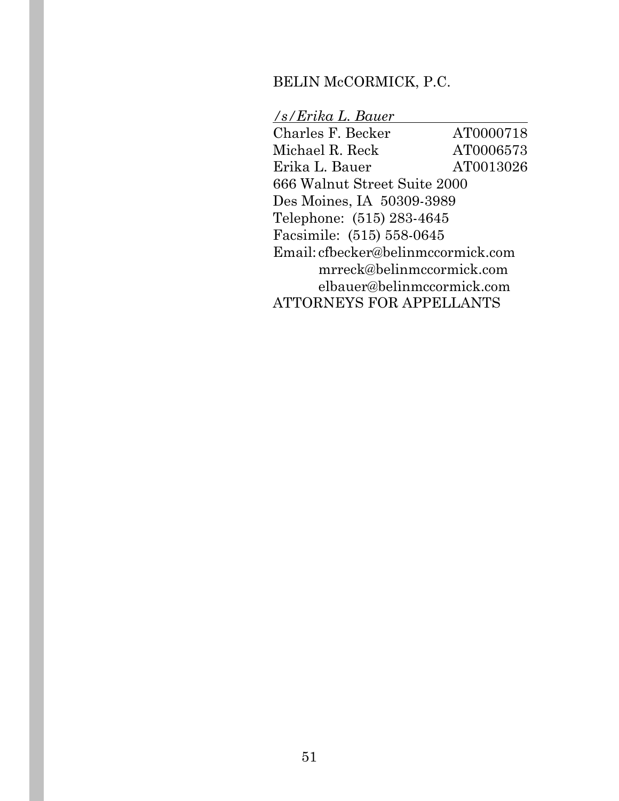### BELIN McCORMICK, P.C.

### */s/Erika L. Bauer*

Charles F. Becker AT0000718 Michael R. Reck AT0006573 Erika L. Bauer AT0013026 666 Walnut Street Suite 2000 Des Moines, IA 50309-3989 Telephone: (515) 283-4645 Facsimile: (515) 558-0645 Email: cfbecker@belinmccormick.com mrreck@belinmccormick.com elbauer@belinmccormick.com ATTORNEYS FOR APPELLANTS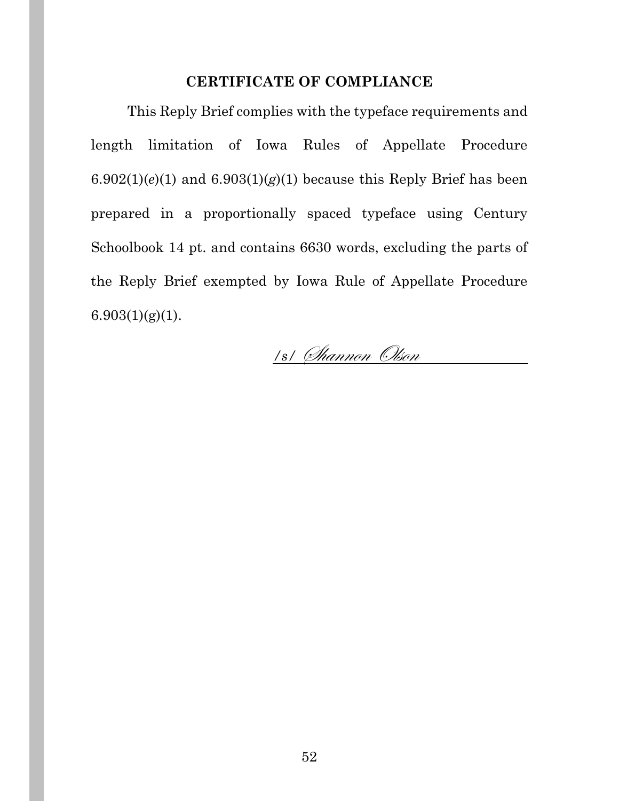### **CERTIFICATE OF COMPLIANCE**

This Reply Brief complies with the typeface requirements and length limitation of Iowa Rules of Appellate Procedure  $6.902(1)(e)(1)$  and  $6.903(1)(g)(1)$  because this Reply Brief has been prepared in a proportionally spaced typeface using Century Schoolbook 14 pt. and contains 6630 words, excluding the parts of the Reply Brief exempted by Iowa Rule of Appellate Procedure  $6.903(1)(g)(1)$ .

<u>/s/ *Channon Olson*</u>